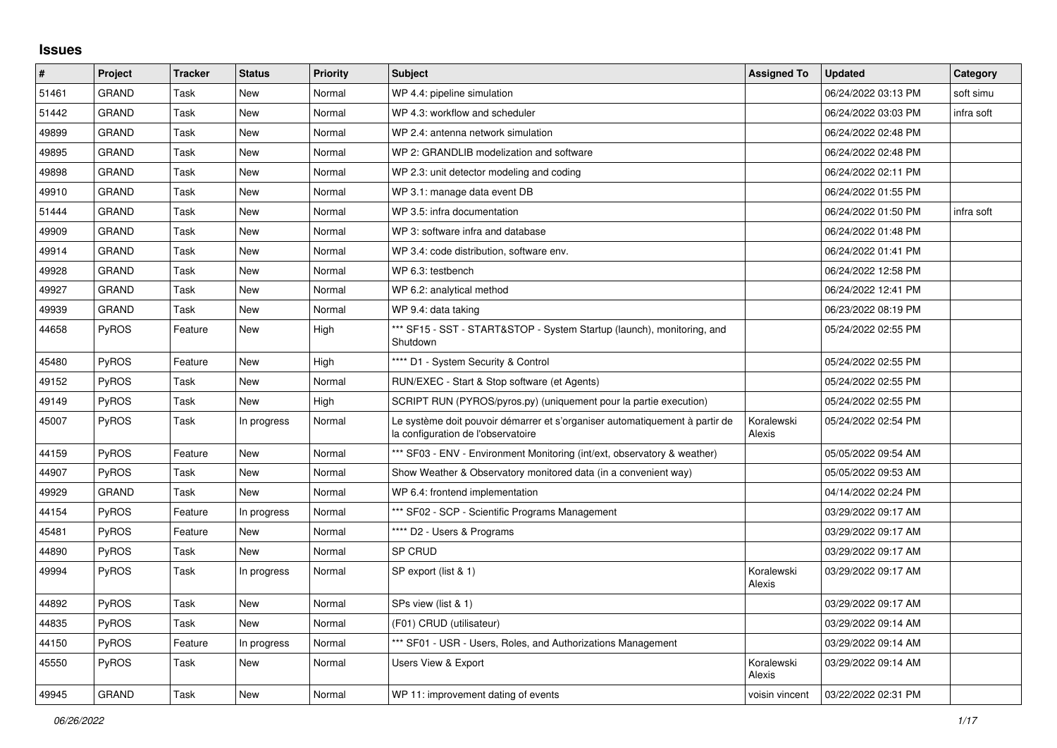## **Issues**

| #     | Project      | <b>Tracker</b> | <b>Status</b> | <b>Priority</b> | <b>Subject</b>                                                                                                    | <b>Assigned To</b>   | <b>Updated</b>      | Category   |
|-------|--------------|----------------|---------------|-----------------|-------------------------------------------------------------------------------------------------------------------|----------------------|---------------------|------------|
| 51461 | <b>GRAND</b> | Task           | New           | Normal          | WP 4.4: pipeline simulation                                                                                       |                      | 06/24/2022 03:13 PM | soft simu  |
| 51442 | <b>GRAND</b> | Task           | New           | Normal          | WP 4.3: workflow and scheduler                                                                                    |                      | 06/24/2022 03:03 PM | infra soft |
| 49899 | GRAND        | Task           | New           | Normal          | WP 2.4: antenna network simulation                                                                                |                      | 06/24/2022 02:48 PM |            |
| 49895 | <b>GRAND</b> | Task           | New           | Normal          | WP 2: GRANDLIB modelization and software                                                                          |                      | 06/24/2022 02:48 PM |            |
| 49898 | <b>GRAND</b> | Task           | <b>New</b>    | Normal          | WP 2.3: unit detector modeling and coding                                                                         |                      | 06/24/2022 02:11 PM |            |
| 49910 | <b>GRAND</b> | Task           | New           | Normal          | WP 3.1: manage data event DB                                                                                      |                      | 06/24/2022 01:55 PM |            |
| 51444 | GRAND        | Task           | New           | Normal          | WP 3.5: infra documentation                                                                                       |                      | 06/24/2022 01:50 PM | infra soft |
| 49909 | <b>GRAND</b> | Task           | New           | Normal          | WP 3: software infra and database                                                                                 |                      | 06/24/2022 01:48 PM |            |
| 49914 | <b>GRAND</b> | Task           | New           | Normal          | WP 3.4: code distribution, software env.                                                                          |                      | 06/24/2022 01:41 PM |            |
| 49928 | <b>GRAND</b> | Task           | New           | Normal          | WP 6.3: testbench                                                                                                 |                      | 06/24/2022 12:58 PM |            |
| 49927 | <b>GRAND</b> | Task           | New           | Normal          | WP 6.2: analytical method                                                                                         |                      | 06/24/2022 12:41 PM |            |
| 49939 | GRAND        | Task           | New           | Normal          | WP 9.4: data taking                                                                                               |                      | 06/23/2022 08:19 PM |            |
| 44658 | PyROS        | Feature        | <b>New</b>    | High            | *** SF15 - SST - START&STOP - System Startup (launch), monitoring, and<br>Shutdown                                |                      | 05/24/2022 02:55 PM |            |
| 45480 | PyROS        | Feature        | <b>New</b>    | High            | **** D1 - System Security & Control                                                                               |                      | 05/24/2022 02:55 PM |            |
| 49152 | PyROS        | Task           | <b>New</b>    | Normal          | RUN/EXEC - Start & Stop software (et Agents)                                                                      |                      | 05/24/2022 02:55 PM |            |
| 49149 | <b>PyROS</b> | Task           | New           | High            | SCRIPT RUN (PYROS/pyros.py) (uniquement pour la partie execution)                                                 |                      | 05/24/2022 02:55 PM |            |
| 45007 | <b>PyROS</b> | Task           | In progress   | Normal          | Le système doit pouvoir démarrer et s'organiser automatiquement à partir de<br>la configuration de l'observatoire | Koralewski<br>Alexis | 05/24/2022 02:54 PM |            |
| 44159 | PyROS        | Feature        | <b>New</b>    | Normal          | *** SF03 - ENV - Environment Monitoring (int/ext, observatory & weather)                                          |                      | 05/05/2022 09:54 AM |            |
| 44907 | PyROS        | Task           | <b>New</b>    | Normal          | Show Weather & Observatory monitored data (in a convenient way)                                                   |                      | 05/05/2022 09:53 AM |            |
| 49929 | <b>GRAND</b> | Task           | New           | Normal          | WP 6.4: frontend implementation                                                                                   |                      | 04/14/2022 02:24 PM |            |
| 44154 | <b>PyROS</b> | Feature        | In progress   | Normal          | *** SF02 - SCP - Scientific Programs Management                                                                   |                      | 03/29/2022 09:17 AM |            |
| 45481 | PyROS        | Feature        | New           | Normal          | **** D2 - Users & Programs                                                                                        |                      | 03/29/2022 09:17 AM |            |
| 44890 | PyROS        | Task           | <b>New</b>    | Normal          | <b>SP CRUD</b>                                                                                                    |                      | 03/29/2022 09:17 AM |            |
| 49994 | <b>PyROS</b> | Task           | In progress   | Normal          | SP export (list & 1)                                                                                              | Koralewski<br>Alexis | 03/29/2022 09:17 AM |            |
| 44892 | PyROS        | Task           | New           | Normal          | SPs view (list & 1)                                                                                               |                      | 03/29/2022 09:17 AM |            |
| 44835 | <b>PyROS</b> | Task           | <b>New</b>    | Normal          | (F01) CRUD (utilisateur)                                                                                          |                      | 03/29/2022 09:14 AM |            |
| 44150 | PyROS        | Feature        | In progress   | Normal          | *** SF01 - USR - Users, Roles, and Authorizations Management                                                      |                      | 03/29/2022 09:14 AM |            |
| 45550 | PyROS        | Task           | New           | Normal          | <b>Users View &amp; Export</b>                                                                                    | Koralewski<br>Alexis | 03/29/2022 09:14 AM |            |
| 49945 | <b>GRAND</b> | Task           | <b>New</b>    | Normal          | WP 11: improvement dating of events                                                                               | voisin vincent       | 03/22/2022 02:31 PM |            |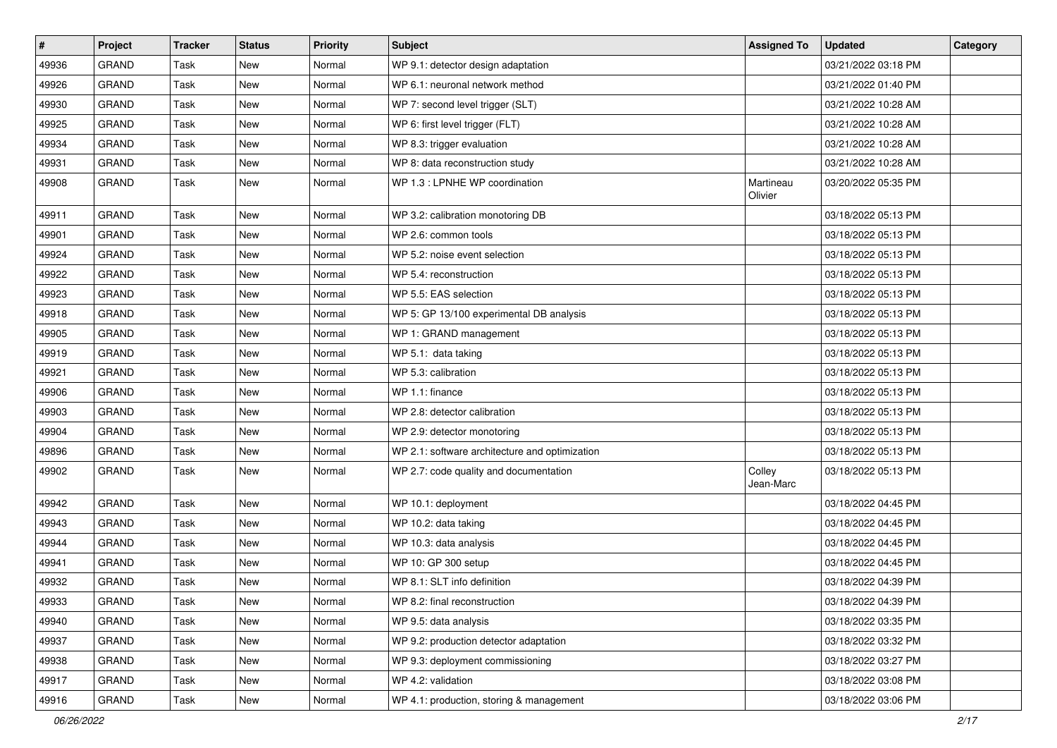| $\pmb{\#}$ | Project      | <b>Tracker</b> | <b>Status</b> | Priority | <b>Subject</b>                                 | <b>Assigned To</b>   | <b>Updated</b>      | Category |
|------------|--------------|----------------|---------------|----------|------------------------------------------------|----------------------|---------------------|----------|
| 49936      | <b>GRAND</b> | Task           | <b>New</b>    | Normal   | WP 9.1: detector design adaptation             |                      | 03/21/2022 03:18 PM |          |
| 49926      | <b>GRAND</b> | Task           | <b>New</b>    | Normal   | WP 6.1: neuronal network method                |                      | 03/21/2022 01:40 PM |          |
| 49930      | <b>GRAND</b> | Task           | New           | Normal   | WP 7: second level trigger (SLT)               |                      | 03/21/2022 10:28 AM |          |
| 49925      | <b>GRAND</b> | Task           | New           | Normal   | WP 6: first level trigger (FLT)                |                      | 03/21/2022 10:28 AM |          |
| 49934      | <b>GRAND</b> | Task           | <b>New</b>    | Normal   | WP 8.3: trigger evaluation                     |                      | 03/21/2022 10:28 AM |          |
| 49931      | <b>GRAND</b> | Task           | New           | Normal   | WP 8: data reconstruction study                |                      | 03/21/2022 10:28 AM |          |
| 49908      | <b>GRAND</b> | Task           | <b>New</b>    | Normal   | WP 1.3 : LPNHE WP coordination                 | Martineau<br>Olivier | 03/20/2022 05:35 PM |          |
| 49911      | <b>GRAND</b> | Task           | <b>New</b>    | Normal   | WP 3.2: calibration monotoring DB              |                      | 03/18/2022 05:13 PM |          |
| 49901      | <b>GRAND</b> | Task           | New           | Normal   | WP 2.6: common tools                           |                      | 03/18/2022 05:13 PM |          |
| 49924      | <b>GRAND</b> | Task           | New           | Normal   | WP 5.2: noise event selection                  |                      | 03/18/2022 05:13 PM |          |
| 49922      | <b>GRAND</b> | Task           | <b>New</b>    | Normal   | WP 5.4: reconstruction                         |                      | 03/18/2022 05:13 PM |          |
| 49923      | <b>GRAND</b> | Task           | New           | Normal   | WP 5.5: EAS selection                          |                      | 03/18/2022 05:13 PM |          |
| 49918      | <b>GRAND</b> | Task           | <b>New</b>    | Normal   | WP 5: GP 13/100 experimental DB analysis       |                      | 03/18/2022 05:13 PM |          |
| 49905      | <b>GRAND</b> | Task           | <b>New</b>    | Normal   | WP 1: GRAND management                         |                      | 03/18/2022 05:13 PM |          |
| 49919      | <b>GRAND</b> | Task           | New           | Normal   | WP 5.1: data taking                            |                      | 03/18/2022 05:13 PM |          |
| 49921      | <b>GRAND</b> | Task           | New           | Normal   | WP 5.3: calibration                            |                      | 03/18/2022 05:13 PM |          |
| 49906      | <b>GRAND</b> | Task           | <b>New</b>    | Normal   | WP 1.1: finance                                |                      | 03/18/2022 05:13 PM |          |
| 49903      | <b>GRAND</b> | Task           | New           | Normal   | WP 2.8: detector calibration                   |                      | 03/18/2022 05:13 PM |          |
| 49904      | <b>GRAND</b> | Task           | <b>New</b>    | Normal   | WP 2.9: detector monotoring                    |                      | 03/18/2022 05:13 PM |          |
| 49896      | <b>GRAND</b> | Task           | New           | Normal   | WP 2.1: software architecture and optimization |                      | 03/18/2022 05:13 PM |          |
| 49902      | <b>GRAND</b> | Task           | New           | Normal   | WP 2.7: code quality and documentation         | Colley<br>Jean-Marc  | 03/18/2022 05:13 PM |          |
| 49942      | <b>GRAND</b> | Task           | New           | Normal   | WP 10.1: deployment                            |                      | 03/18/2022 04:45 PM |          |
| 49943      | <b>GRAND</b> | Task           | <b>New</b>    | Normal   | WP 10.2: data taking                           |                      | 03/18/2022 04:45 PM |          |
| 49944      | <b>GRAND</b> | Task           | <b>New</b>    | Normal   | WP 10.3: data analysis                         |                      | 03/18/2022 04:45 PM |          |
| 49941      | <b>GRAND</b> | Task           | <b>New</b>    | Normal   | WP 10: GP 300 setup                            |                      | 03/18/2022 04:45 PM |          |
| 49932      | <b>GRAND</b> | Task           | New           | Normal   | WP 8.1: SLT info definition                    |                      | 03/18/2022 04:39 PM |          |
| 49933      | <b>GRAND</b> | Task           | New           | Normal   | WP 8.2: final reconstruction                   |                      | 03/18/2022 04:39 PM |          |
| 49940      | <b>GRAND</b> | Task           | New           | Normal   | WP 9.5: data analysis                          |                      | 03/18/2022 03:35 PM |          |
| 49937      | GRAND        | Task           | New           | Normal   | WP 9.2: production detector adaptation         |                      | 03/18/2022 03:32 PM |          |
| 49938      | GRAND        | Task           | New           | Normal   | WP 9.3: deployment commissioning               |                      | 03/18/2022 03:27 PM |          |
| 49917      | <b>GRAND</b> | Task           | New           | Normal   | WP 4.2: validation                             |                      | 03/18/2022 03:08 PM |          |
| 49916      | GRAND        | Task           | New           | Normal   | WP 4.1: production, storing & management       |                      | 03/18/2022 03:06 PM |          |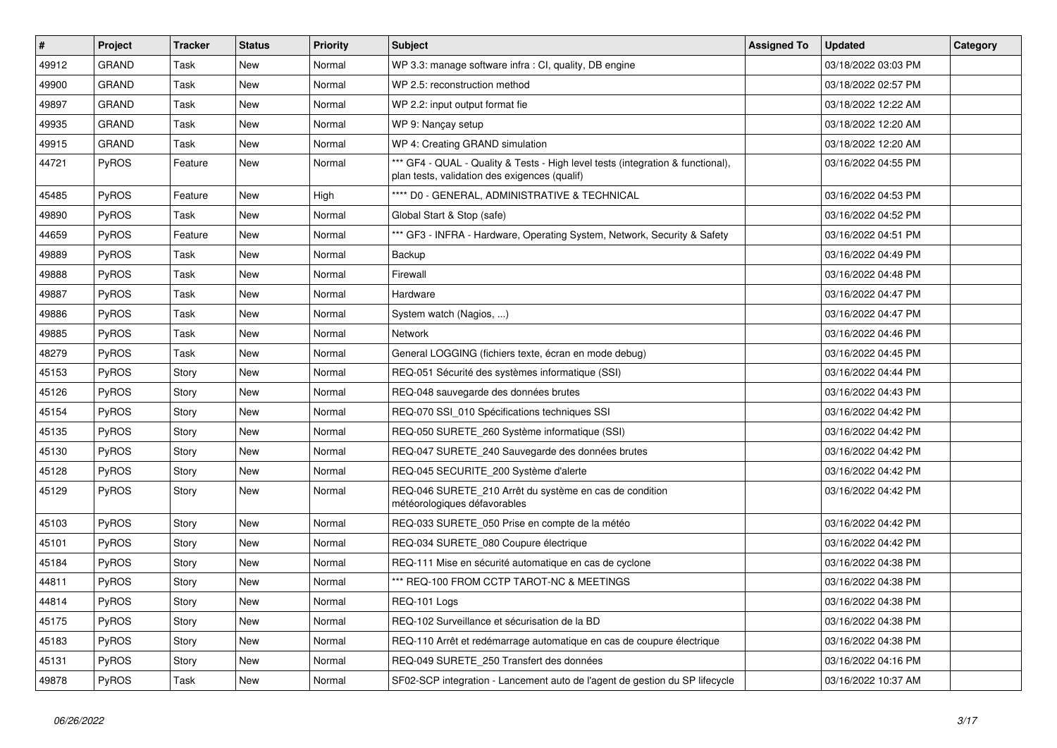| $\sharp$ | Project      | <b>Tracker</b> | <b>Status</b> | Priority | <b>Subject</b>                                                                                                                   | <b>Assigned To</b> | <b>Updated</b>      | Category |
|----------|--------------|----------------|---------------|----------|----------------------------------------------------------------------------------------------------------------------------------|--------------------|---------------------|----------|
| 49912    | <b>GRAND</b> | Task           | New           | Normal   | WP 3.3: manage software infra : CI, quality, DB engine                                                                           |                    | 03/18/2022 03:03 PM |          |
| 49900    | <b>GRAND</b> | Task           | New           | Normal   | WP 2.5: reconstruction method                                                                                                    |                    | 03/18/2022 02:57 PM |          |
| 49897    | <b>GRAND</b> | Task           | New           | Normal   | WP 2.2: input output format fie                                                                                                  |                    | 03/18/2022 12:22 AM |          |
| 49935    | <b>GRAND</b> | Task           | New           | Normal   | WP 9: Nancay setup                                                                                                               |                    | 03/18/2022 12:20 AM |          |
| 49915    | <b>GRAND</b> | Task           | New           | Normal   | WP 4: Creating GRAND simulation                                                                                                  |                    | 03/18/2022 12:20 AM |          |
| 44721    | <b>PyROS</b> | Feature        | New           | Normal   | *** GF4 - QUAL - Quality & Tests - High level tests (integration & functional),<br>plan tests, validation des exigences (qualif) |                    | 03/16/2022 04:55 PM |          |
| 45485    | <b>PyROS</b> | Feature        | <b>New</b>    | High     | **** D0 - GENERAL, ADMINISTRATIVE & TECHNICAL                                                                                    |                    | 03/16/2022 04:53 PM |          |
| 49890    | PyROS        | Task           | New           | Normal   | Global Start & Stop (safe)                                                                                                       |                    | 03/16/2022 04:52 PM |          |
| 44659    | PyROS        | Feature        | New           | Normal   | *** GF3 - INFRA - Hardware, Operating System, Network, Security & Safety                                                         |                    | 03/16/2022 04:51 PM |          |
| 49889    | <b>PyROS</b> | Task           | New           | Normal   | Backup                                                                                                                           |                    | 03/16/2022 04:49 PM |          |
| 49888    | PyROS        | Task           | New           | Normal   | Firewall                                                                                                                         |                    | 03/16/2022 04:48 PM |          |
| 49887    | PyROS        | Task           | New           | Normal   | Hardware                                                                                                                         |                    | 03/16/2022 04:47 PM |          |
| 49886    | PyROS        | Task           | New           | Normal   | System watch (Nagios, )                                                                                                          |                    | 03/16/2022 04:47 PM |          |
| 49885    | PyROS        | Task           | New           | Normal   | Network                                                                                                                          |                    | 03/16/2022 04:46 PM |          |
| 48279    | PyROS        | Task           | New           | Normal   | General LOGGING (fichiers texte, écran en mode debug)                                                                            |                    | 03/16/2022 04:45 PM |          |
| 45153    | <b>PyROS</b> | Story          | New           | Normal   | REQ-051 Sécurité des systèmes informatique (SSI)                                                                                 |                    | 03/16/2022 04:44 PM |          |
| 45126    | <b>PyROS</b> | Story          | New           | Normal   | REQ-048 sauvegarde des données brutes                                                                                            |                    | 03/16/2022 04:43 PM |          |
| 45154    | <b>PyROS</b> | Story          | New           | Normal   | REQ-070 SSI 010 Spécifications techniques SSI                                                                                    |                    | 03/16/2022 04:42 PM |          |
| 45135    | <b>PyROS</b> | Story          | New           | Normal   | REQ-050 SURETE 260 Système informatique (SSI)                                                                                    |                    | 03/16/2022 04:42 PM |          |
| 45130    | <b>PyROS</b> | Story          | New           | Normal   | REQ-047 SURETE_240 Sauvegarde des données brutes                                                                                 |                    | 03/16/2022 04:42 PM |          |
| 45128    | PyROS        | Story          | New           | Normal   | REQ-045 SECURITE_200 Système d'alerte                                                                                            |                    | 03/16/2022 04:42 PM |          |
| 45129    | <b>PyROS</b> | Story          | New           | Normal   | REQ-046 SURETE_210 Arrêt du système en cas de condition<br>météorologiques défavorables                                          |                    | 03/16/2022 04:42 PM |          |
| 45103    | <b>PyROS</b> | Story          | New           | Normal   | REQ-033 SURETE_050 Prise en compte de la météo                                                                                   |                    | 03/16/2022 04:42 PM |          |
| 45101    | <b>PyROS</b> | Story          | New           | Normal   | REQ-034 SURETE_080 Coupure électrique                                                                                            |                    | 03/16/2022 04:42 PM |          |
| 45184    | <b>PyROS</b> | Story          | New           | Normal   | REQ-111 Mise en sécurité automatique en cas de cyclone                                                                           |                    | 03/16/2022 04:38 PM |          |
| 44811    | <b>PyROS</b> | Story          | New           | Normal   | *** REQ-100 FROM CCTP TAROT-NC & MEETINGS                                                                                        |                    | 03/16/2022 04:38 PM |          |
| 44814    | PyROS        | Story          | New           | Normal   | REQ-101 Logs                                                                                                                     |                    | 03/16/2022 04:38 PM |          |
| 45175    | PyROS        | Story          | New           | Normal   | REQ-102 Surveillance et sécurisation de la BD                                                                                    |                    | 03/16/2022 04:38 PM |          |
| 45183    | <b>PyROS</b> | Story          | New           | Normal   | REQ-110 Arrêt et redémarrage automatique en cas de coupure électrique                                                            |                    | 03/16/2022 04:38 PM |          |
| 45131    | PyROS        | Story          | New           | Normal   | REQ-049 SURETE_250 Transfert des données                                                                                         |                    | 03/16/2022 04:16 PM |          |
| 49878    | PyROS        | Task           | New           | Normal   | SF02-SCP integration - Lancement auto de l'agent de gestion du SP lifecycle                                                      |                    | 03/16/2022 10:37 AM |          |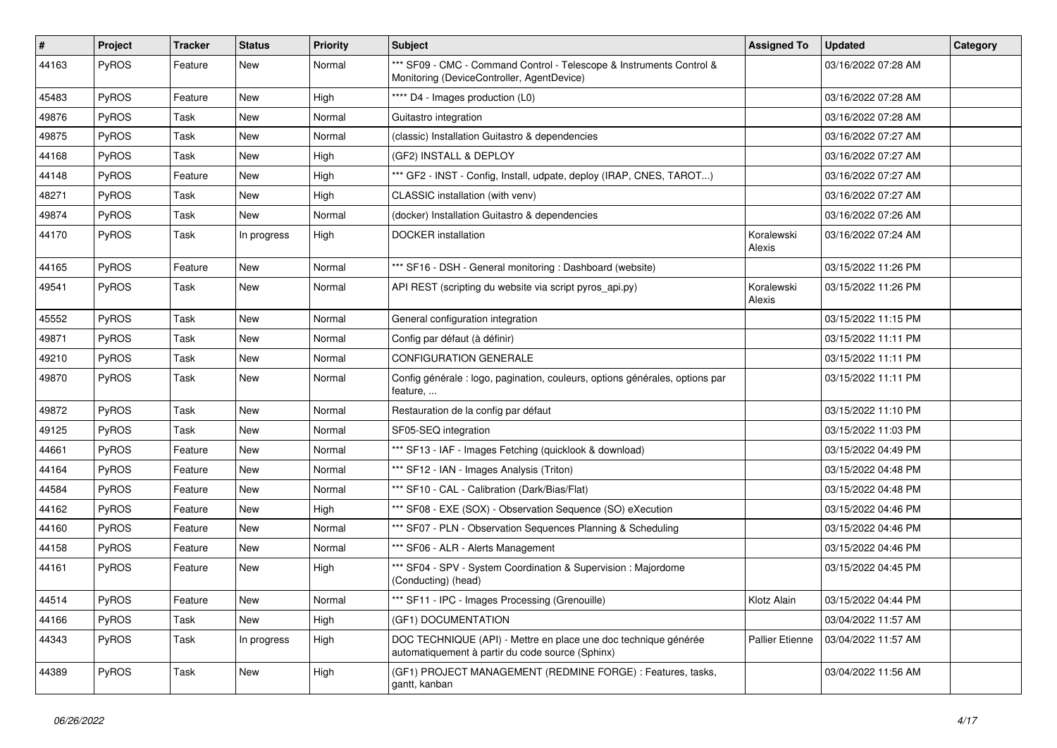| #     | Project | <b>Tracker</b> | <b>Status</b> | <b>Priority</b> | <b>Subject</b>                                                                                                      | <b>Assigned To</b>     | <b>Updated</b>      | Category |
|-------|---------|----------------|---------------|-----------------|---------------------------------------------------------------------------------------------------------------------|------------------------|---------------------|----------|
| 44163 | PyROS   | Feature        | New           | Normal          | *** SF09 - CMC - Command Control - Telescope & Instruments Control &<br>Monitoring (DeviceController, AgentDevice)  |                        | 03/16/2022 07:28 AM |          |
| 45483 | PyROS   | Feature        | New           | High            | **** D4 - Images production (L0)                                                                                    |                        | 03/16/2022 07:28 AM |          |
| 49876 | PyROS   | Task           | New           | Normal          | Guitastro integration                                                                                               |                        | 03/16/2022 07:28 AM |          |
| 49875 | PyROS   | Task           | <b>New</b>    | Normal          | (classic) Installation Guitastro & dependencies                                                                     |                        | 03/16/2022 07:27 AM |          |
| 44168 | PyROS   | Task           | New           | High            | (GF2) INSTALL & DEPLOY                                                                                              |                        | 03/16/2022 07:27 AM |          |
| 44148 | PyROS   | Feature        | <b>New</b>    | High            | *** GF2 - INST - Config, Install, udpate, deploy (IRAP, CNES, TAROT)                                                |                        | 03/16/2022 07:27 AM |          |
| 48271 | PyROS   | Task           | New           | High            | CLASSIC installation (with venv)                                                                                    |                        | 03/16/2022 07:27 AM |          |
| 49874 | PyROS   | Task           | New           | Normal          | (docker) Installation Guitastro & dependencies                                                                      |                        | 03/16/2022 07:26 AM |          |
| 44170 | PyROS   | Task           | In progress   | High            | <b>DOCKER</b> installation                                                                                          | Koralewski<br>Alexis   | 03/16/2022 07:24 AM |          |
| 44165 | PyROS   | Feature        | New           | Normal          | *** SF16 - DSH - General monitoring : Dashboard (website)                                                           |                        | 03/15/2022 11:26 PM |          |
| 49541 | PyROS   | Task           | New           | Normal          | API REST (scripting du website via script pyros_api.py)                                                             | Koralewski<br>Alexis   | 03/15/2022 11:26 PM |          |
| 45552 | PyROS   | Task           | <b>New</b>    | Normal          | General configuration integration                                                                                   |                        | 03/15/2022 11:15 PM |          |
| 49871 | PyROS   | Task           | New           | Normal          | Config par défaut (à définir)                                                                                       |                        | 03/15/2022 11:11 PM |          |
| 49210 | PyROS   | Task           | New           | Normal          | <b>CONFIGURATION GENERALE</b>                                                                                       |                        | 03/15/2022 11:11 PM |          |
| 49870 | PyROS   | Task           | <b>New</b>    | Normal          | Config générale : logo, pagination, couleurs, options générales, options par<br>feature,                            |                        | 03/15/2022 11:11 PM |          |
| 49872 | PyROS   | Task           | New           | Normal          | Restauration de la config par défaut                                                                                |                        | 03/15/2022 11:10 PM |          |
| 49125 | PyROS   | Task           | <b>New</b>    | Normal          | SF05-SEQ integration                                                                                                |                        | 03/15/2022 11:03 PM |          |
| 44661 | PyROS   | Feature        | New           | Normal          | *** SF13 - IAF - Images Fetching (quicklook & download)                                                             |                        | 03/15/2022 04:49 PM |          |
| 44164 | PyROS   | Feature        | <b>New</b>    | Normal          | *** SF12 - IAN - Images Analysis (Triton)                                                                           |                        | 03/15/2022 04:48 PM |          |
| 44584 | PyROS   | Feature        | New           | Normal          | *** SF10 - CAL - Calibration (Dark/Bias/Flat)                                                                       |                        | 03/15/2022 04:48 PM |          |
| 44162 | PyROS   | Feature        | New           | High            | *** SF08 - EXE (SOX) - Observation Sequence (SO) eXecution                                                          |                        | 03/15/2022 04:46 PM |          |
| 44160 | PyROS   | Feature        | <b>New</b>    | Normal          | *** SF07 - PLN - Observation Sequences Planning & Scheduling                                                        |                        | 03/15/2022 04:46 PM |          |
| 44158 | PyROS   | Feature        | New           | Normal          | *** SF06 - ALR - Alerts Management                                                                                  |                        | 03/15/2022 04:46 PM |          |
| 44161 | PyROS   | Feature        | New           | High            | *** SF04 - SPV - System Coordination & Supervision : Majordome<br>(Conducting) (head)                               |                        | 03/15/2022 04:45 PM |          |
| 44514 | PyROS   | Feature        | New           | Normal          | *** SF11 - IPC - Images Processing (Grenouille)                                                                     | Klotz Alain            | 03/15/2022 04:44 PM |          |
| 44166 | PyROS   | Task           | New           | High            | (GF1) DOCUMENTATION                                                                                                 |                        | 03/04/2022 11:57 AM |          |
| 44343 | PyROS   | Task           | In progress   | High            | DOC TECHNIQUE (API) - Mettre en place une doc technique générée<br>automatiquement à partir du code source (Sphinx) | <b>Pallier Etienne</b> | 03/04/2022 11:57 AM |          |
| 44389 | PyROS   | Task           | New           | High            | (GF1) PROJECT MANAGEMENT (REDMINE FORGE) : Features, tasks,<br>gantt, kanban                                        |                        | 03/04/2022 11:56 AM |          |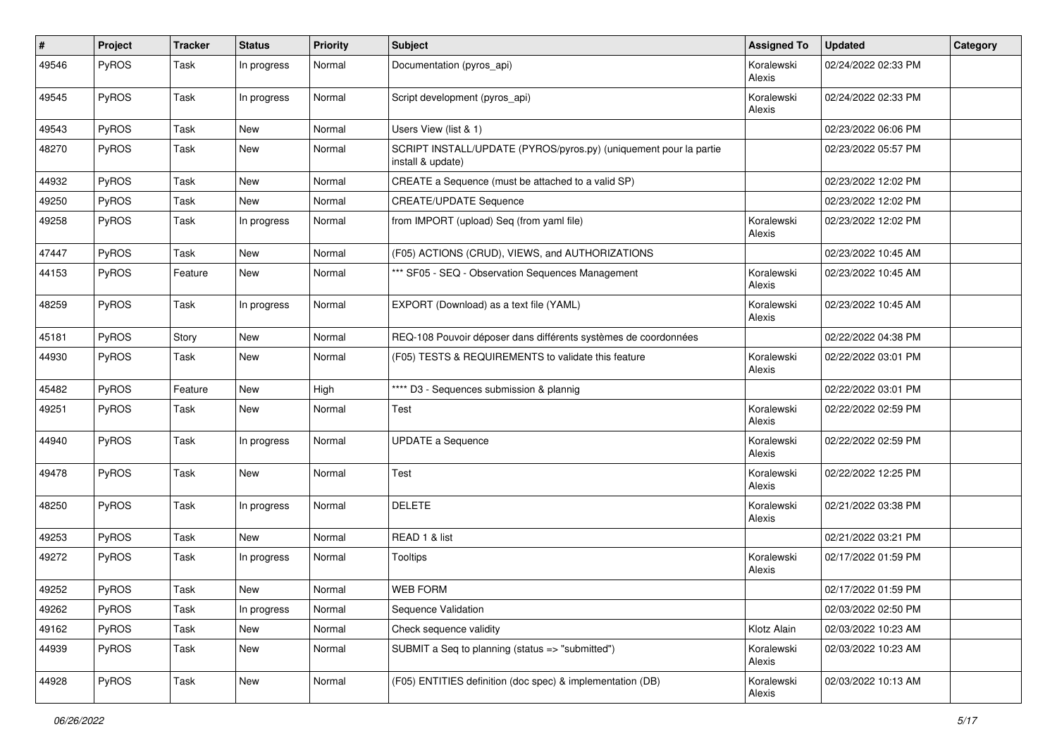| #     | Project | <b>Tracker</b> | <b>Status</b> | <b>Priority</b> | Subject                                                                                | <b>Assigned To</b>   | <b>Updated</b>      | Category |
|-------|---------|----------------|---------------|-----------------|----------------------------------------------------------------------------------------|----------------------|---------------------|----------|
| 49546 | PyROS   | Task           | In progress   | Normal          | Documentation (pyros_api)                                                              | Koralewski<br>Alexis | 02/24/2022 02:33 PM |          |
| 49545 | PyROS   | Task           | In progress   | Normal          | Script development (pyros_api)                                                         | Koralewski<br>Alexis | 02/24/2022 02:33 PM |          |
| 49543 | PyROS   | Task           | New           | Normal          | Users View (list & 1)                                                                  |                      | 02/23/2022 06:06 PM |          |
| 48270 | PyROS   | Task           | New           | Normal          | SCRIPT INSTALL/UPDATE (PYROS/pyros.py) (uniquement pour la partie<br>install & update) |                      | 02/23/2022 05:57 PM |          |
| 44932 | PyROS   | Task           | New           | Normal          | CREATE a Sequence (must be attached to a valid SP)                                     |                      | 02/23/2022 12:02 PM |          |
| 49250 | PyROS   | Task           | New           | Normal          | <b>CREATE/UPDATE Sequence</b>                                                          |                      | 02/23/2022 12:02 PM |          |
| 49258 | PyROS   | Task           | In progress   | Normal          | from IMPORT (upload) Seq (from yaml file)                                              | Koralewski<br>Alexis | 02/23/2022 12:02 PM |          |
| 47447 | PyROS   | Task           | New           | Normal          | (F05) ACTIONS (CRUD), VIEWS, and AUTHORIZATIONS                                        |                      | 02/23/2022 10:45 AM |          |
| 44153 | PyROS   | Feature        | New           | Normal          | *** SF05 - SEQ - Observation Sequences Management                                      | Koralewski<br>Alexis | 02/23/2022 10:45 AM |          |
| 48259 | PyROS   | Task           | In progress   | Normal          | EXPORT (Download) as a text file (YAML)                                                | Koralewski<br>Alexis | 02/23/2022 10:45 AM |          |
| 45181 | PyROS   | Story          | New           | Normal          | REQ-108 Pouvoir déposer dans différents systèmes de coordonnées                        |                      | 02/22/2022 04:38 PM |          |
| 44930 | PyROS   | Task           | New           | Normal          | (F05) TESTS & REQUIREMENTS to validate this feature                                    | Koralewski<br>Alexis | 02/22/2022 03:01 PM |          |
| 45482 | PyROS   | Feature        | New           | High            | **** D3 - Sequences submission & plannig                                               |                      | 02/22/2022 03:01 PM |          |
| 49251 | PyROS   | Task           | New           | Normal          | Test                                                                                   | Koralewski<br>Alexis | 02/22/2022 02:59 PM |          |
| 44940 | PyROS   | Task           | In progress   | Normal          | <b>UPDATE a Sequence</b>                                                               | Koralewski<br>Alexis | 02/22/2022 02:59 PM |          |
| 49478 | PyROS   | Task           | New           | Normal          | Test                                                                                   | Koralewski<br>Alexis | 02/22/2022 12:25 PM |          |
| 48250 | PyROS   | Task           | In progress   | Normal          | <b>DELETE</b>                                                                          | Koralewski<br>Alexis | 02/21/2022 03:38 PM |          |
| 49253 | PyROS   | Task           | New           | Normal          | READ 1 & list                                                                          |                      | 02/21/2022 03:21 PM |          |
| 49272 | PyROS   | Task           | In progress   | Normal          | <b>Tooltips</b>                                                                        | Koralewski<br>Alexis | 02/17/2022 01:59 PM |          |
| 49252 | PyROS   | Task           | New           | Normal          | <b>WEB FORM</b>                                                                        |                      | 02/17/2022 01:59 PM |          |
| 49262 | PyROS   | Task           | In progress   | Normal          | Sequence Validation                                                                    |                      | 02/03/2022 02:50 PM |          |
| 49162 | PyROS   | Task           | New           | Normal          | Check sequence validity                                                                | Klotz Alain          | 02/03/2022 10:23 AM |          |
| 44939 | PyROS   | Task           | New           | Normal          | SUBMIT a Seq to planning (status => "submitted")                                       | Koralewski<br>Alexis | 02/03/2022 10:23 AM |          |
| 44928 | PyROS   | Task           | New           | Normal          | (F05) ENTITIES definition (doc spec) & implementation (DB)                             | Koralewski<br>Alexis | 02/03/2022 10:13 AM |          |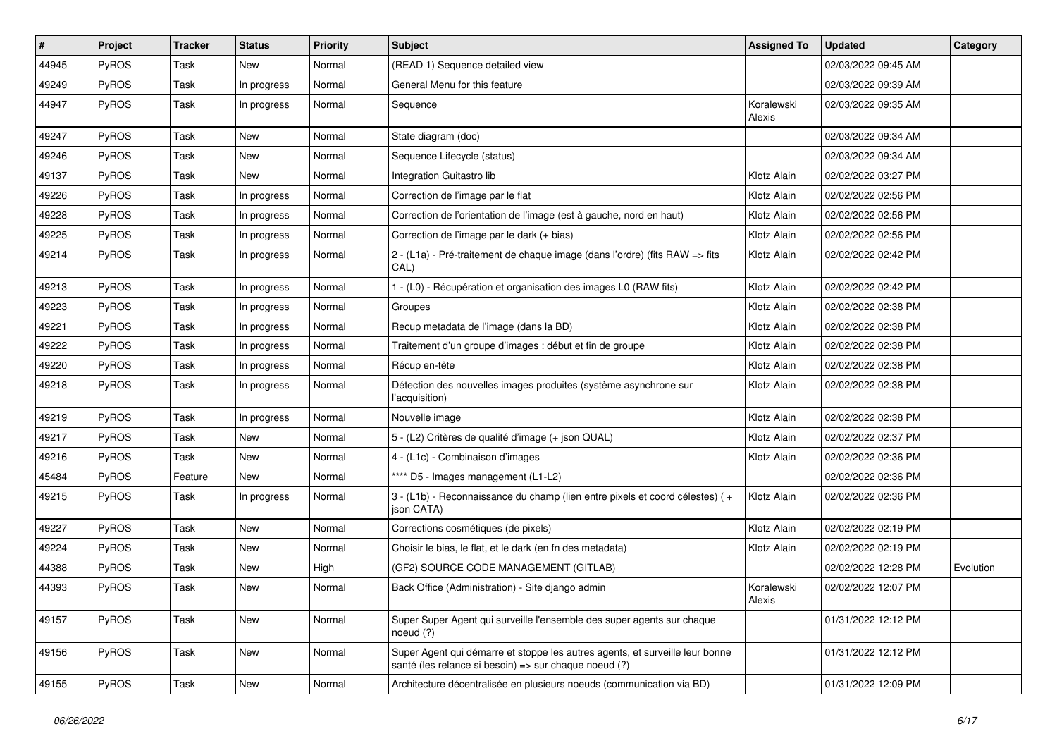| #     | Project | <b>Tracker</b> | <b>Status</b> | <b>Priority</b> | <b>Subject</b>                                                                                                                        | <b>Assigned To</b>   | <b>Updated</b>      | Category  |
|-------|---------|----------------|---------------|-----------------|---------------------------------------------------------------------------------------------------------------------------------------|----------------------|---------------------|-----------|
| 44945 | PyROS   | Task           | New           | Normal          | (READ 1) Sequence detailed view                                                                                                       |                      | 02/03/2022 09:45 AM |           |
| 49249 | PyROS   | Task           | In progress   | Normal          | General Menu for this feature                                                                                                         |                      | 02/03/2022 09:39 AM |           |
| 44947 | PyROS   | Task           | In progress   | Normal          | Sequence                                                                                                                              | Koralewski<br>Alexis | 02/03/2022 09:35 AM |           |
| 49247 | PyROS   | Task           | New           | Normal          | State diagram (doc)                                                                                                                   |                      | 02/03/2022 09:34 AM |           |
| 49246 | PyROS   | Task           | New           | Normal          | Sequence Lifecycle (status)                                                                                                           |                      | 02/03/2022 09:34 AM |           |
| 49137 | PyROS   | Task           | New           | Normal          | Integration Guitastro lib                                                                                                             | Klotz Alain          | 02/02/2022 03:27 PM |           |
| 49226 | PyROS   | Task           | In progress   | Normal          | Correction de l'image par le flat                                                                                                     | Klotz Alain          | 02/02/2022 02:56 PM |           |
| 49228 | PyROS   | Task           | In progress   | Normal          | Correction de l'orientation de l'image (est à gauche, nord en haut)                                                                   | Klotz Alain          | 02/02/2022 02:56 PM |           |
| 49225 | PyROS   | Task           | In progress   | Normal          | Correction de l'image par le dark (+ bias)                                                                                            | Klotz Alain          | 02/02/2022 02:56 PM |           |
| 49214 | PyROS   | Task           | In progress   | Normal          | 2 - (L1a) - Pré-traitement de chaque image (dans l'ordre) (fits RAW => fits<br>CAL)                                                   | Klotz Alain          | 02/02/2022 02:42 PM |           |
| 49213 | PyROS   | Task           | In progress   | Normal          | 1 - (L0) - Récupération et organisation des images L0 (RAW fits)                                                                      | Klotz Alain          | 02/02/2022 02:42 PM |           |
| 49223 | PyROS   | Task           | In progress   | Normal          | Groupes                                                                                                                               | Klotz Alain          | 02/02/2022 02:38 PM |           |
| 49221 | PyROS   | Task           | In progress   | Normal          | Recup metadata de l'image (dans la BD)                                                                                                | Klotz Alain          | 02/02/2022 02:38 PM |           |
| 49222 | PyROS   | Task           | In progress   | Normal          | Traitement d'un groupe d'images : début et fin de groupe                                                                              | Klotz Alain          | 02/02/2022 02:38 PM |           |
| 49220 | PyROS   | Task           | In progress   | Normal          | Récup en-tête                                                                                                                         | Klotz Alain          | 02/02/2022 02:38 PM |           |
| 49218 | PyROS   | Task           | In progress   | Normal          | Détection des nouvelles images produites (système asynchrone sur<br>l'acquisition)                                                    | Klotz Alain          | 02/02/2022 02:38 PM |           |
| 49219 | PyROS   | Task           | In progress   | Normal          | Nouvelle image                                                                                                                        | Klotz Alain          | 02/02/2022 02:38 PM |           |
| 49217 | PyROS   | Task           | New           | Normal          | 5 - (L2) Critères de qualité d'image (+ json QUAL)                                                                                    | Klotz Alain          | 02/02/2022 02:37 PM |           |
| 49216 | PyROS   | Task           | New           | Normal          | 4 - (L1c) - Combinaison d'images                                                                                                      | Klotz Alain          | 02/02/2022 02:36 PM |           |
| 45484 | PyROS   | Feature        | New           | Normal          | **** D5 - Images management (L1-L2)                                                                                                   |                      | 02/02/2022 02:36 PM |           |
| 49215 | PyROS   | Task           | In progress   | Normal          | 3 - (L1b) - Reconnaissance du champ (lien entre pixels et coord célestes) (+<br>json CATA)                                            | Klotz Alain          | 02/02/2022 02:36 PM |           |
| 49227 | PyROS   | Task           | New           | Normal          | Corrections cosmétiques (de pixels)                                                                                                   | Klotz Alain          | 02/02/2022 02:19 PM |           |
| 49224 | PyROS   | Task           | New           | Normal          | Choisir le bias, le flat, et le dark (en fn des metadata)                                                                             | Klotz Alain          | 02/02/2022 02:19 PM |           |
| 44388 | PyROS   | Task           | New           | High            | (GF2) SOURCE CODE MANAGEMENT (GITLAB)                                                                                                 |                      | 02/02/2022 12:28 PM | Evolution |
| 44393 | PyROS   | Task           | New           | Normal          | Back Office (Administration) - Site django admin                                                                                      | Koralewski<br>Alexis | 02/02/2022 12:07 PM |           |
| 49157 | PyROS   | Task           | New           | Normal          | Super Super Agent qui surveille l'ensemble des super agents sur chaque<br>noeud (?)                                                   |                      | 01/31/2022 12:12 PM |           |
| 49156 | PyROS   | Task           | <b>New</b>    | Normal          | Super Agent qui démarre et stoppe les autres agents, et surveille leur bonne<br>santé (les relance si besoin) => sur chaque noeud (?) |                      | 01/31/2022 12:12 PM |           |
| 49155 | PyROS   | Task           | New           | Normal          | Architecture décentralisée en plusieurs noeuds (communication via BD)                                                                 |                      | 01/31/2022 12:09 PM |           |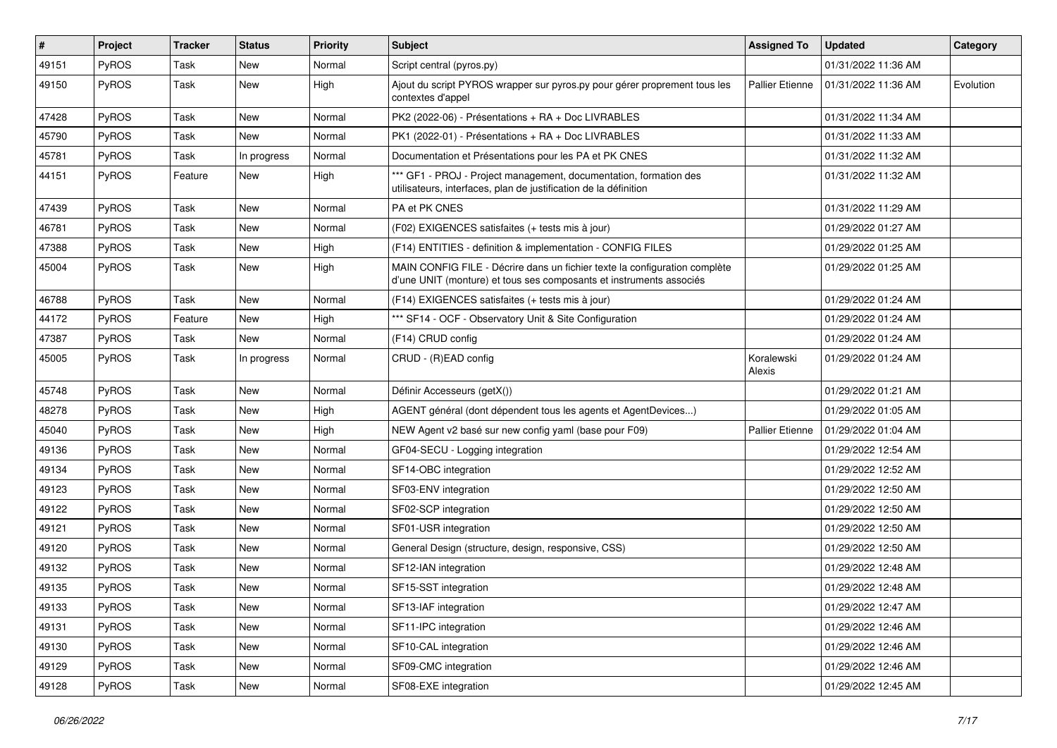| $\vert$ # | Project      | Tracker | <b>Status</b> | <b>Priority</b> | <b>Subject</b>                                                                                                                                    | <b>Assigned To</b>     | <b>Updated</b>      | Category  |
|-----------|--------------|---------|---------------|-----------------|---------------------------------------------------------------------------------------------------------------------------------------------------|------------------------|---------------------|-----------|
| 49151     | PyROS        | Task    | New           | Normal          | Script central (pyros.py)                                                                                                                         |                        | 01/31/2022 11:36 AM |           |
| 49150     | PyROS        | Task    | New           | High            | Ajout du script PYROS wrapper sur pyros.py pour gérer proprement tous les<br>contextes d'appel                                                    | <b>Pallier Etienne</b> | 01/31/2022 11:36 AM | Evolution |
| 47428     | PyROS        | Task    | New           | Normal          | PK2 (2022-06) - Présentations + RA + Doc LIVRABLES                                                                                                |                        | 01/31/2022 11:34 AM |           |
| 45790     | PyROS        | Task    | <b>New</b>    | Normal          | PK1 (2022-01) - Présentations + RA + Doc LIVRABLES                                                                                                |                        | 01/31/2022 11:33 AM |           |
| 45781     | PyROS        | Task    | In progress   | Normal          | Documentation et Présentations pour les PA et PK CNES                                                                                             |                        | 01/31/2022 11:32 AM |           |
| 44151     | PyROS        | Feature | New           | High            | *** GF1 - PROJ - Project management, documentation, formation des<br>utilisateurs, interfaces, plan de justification de la définition             |                        | 01/31/2022 11:32 AM |           |
| 47439     | PyROS        | Task    | <b>New</b>    | Normal          | PA et PK CNES                                                                                                                                     |                        | 01/31/2022 11:29 AM |           |
| 46781     | PyROS        | Task    | New           | Normal          | (F02) EXIGENCES satisfaites (+ tests mis à jour)                                                                                                  |                        | 01/29/2022 01:27 AM |           |
| 47388     | <b>PyROS</b> | Task    | New           | High            | (F14) ENTITIES - definition & implementation - CONFIG FILES                                                                                       |                        | 01/29/2022 01:25 AM |           |
| 45004     | PyROS        | Task    | New           | High            | MAIN CONFIG FILE - Décrire dans un fichier texte la configuration complète<br>d'une UNIT (monture) et tous ses composants et instruments associés |                        | 01/29/2022 01:25 AM |           |
| 46788     | PyROS        | Task    | New           | Normal          | (F14) EXIGENCES satisfaites (+ tests mis à jour)                                                                                                  |                        | 01/29/2022 01:24 AM |           |
| 44172     | PyROS        | Feature | New           | High            | *** SF14 - OCF - Observatory Unit & Site Configuration                                                                                            |                        | 01/29/2022 01:24 AM |           |
| 47387     | PyROS        | Task    | New           | Normal          | (F14) CRUD config                                                                                                                                 |                        | 01/29/2022 01:24 AM |           |
| 45005     | PyROS        | Task    | In progress   | Normal          | CRUD - (R)EAD config                                                                                                                              | Koralewski<br>Alexis   | 01/29/2022 01:24 AM |           |
| 45748     | PyROS        | Task    | New           | Normal          | Définir Accesseurs (getX())                                                                                                                       |                        | 01/29/2022 01:21 AM |           |
| 48278     | PyROS        | Task    | New           | High            | AGENT général (dont dépendent tous les agents et AgentDevices)                                                                                    |                        | 01/29/2022 01:05 AM |           |
| 45040     | PyROS        | Task    | New           | High            | NEW Agent v2 basé sur new config yaml (base pour F09)                                                                                             | <b>Pallier Etienne</b> | 01/29/2022 01:04 AM |           |
| 49136     | PyROS        | Task    | New           | Normal          | GF04-SECU - Logging integration                                                                                                                   |                        | 01/29/2022 12:54 AM |           |
| 49134     | PyROS        | Task    | <b>New</b>    | Normal          | SF14-OBC integration                                                                                                                              |                        | 01/29/2022 12:52 AM |           |
| 49123     | PyROS        | Task    | New           | Normal          | SF03-ENV integration                                                                                                                              |                        | 01/29/2022 12:50 AM |           |
| 49122     | PyROS        | Task    | New           | Normal          | SF02-SCP integration                                                                                                                              |                        | 01/29/2022 12:50 AM |           |
| 49121     | PyROS        | Task    | New           | Normal          | SF01-USR integration                                                                                                                              |                        | 01/29/2022 12:50 AM |           |
| 49120     | PyROS        | Task    | New           | Normal          | General Design (structure, design, responsive, CSS)                                                                                               |                        | 01/29/2022 12:50 AM |           |
| 49132     | PyROS        | Task    | New           | Normal          | SF12-IAN integration                                                                                                                              |                        | 01/29/2022 12:48 AM |           |
| 49135     | PyROS        | Task    | New           | Normal          | SF15-SST integration                                                                                                                              |                        | 01/29/2022 12:48 AM |           |
| 49133     | PyROS        | Task    | New           | Normal          | SF13-IAF integration                                                                                                                              |                        | 01/29/2022 12:47 AM |           |
| 49131     | PyROS        | Task    | New           | Normal          | SF11-IPC integration                                                                                                                              |                        | 01/29/2022 12:46 AM |           |
| 49130     | PyROS        | Task    | New           | Normal          | SF10-CAL integration                                                                                                                              |                        | 01/29/2022 12:46 AM |           |
| 49129     | PyROS        | Task    | New           | Normal          | SF09-CMC integration                                                                                                                              |                        | 01/29/2022 12:46 AM |           |
| 49128     | PyROS        | Task    | New           | Normal          | SF08-EXE integration                                                                                                                              |                        | 01/29/2022 12:45 AM |           |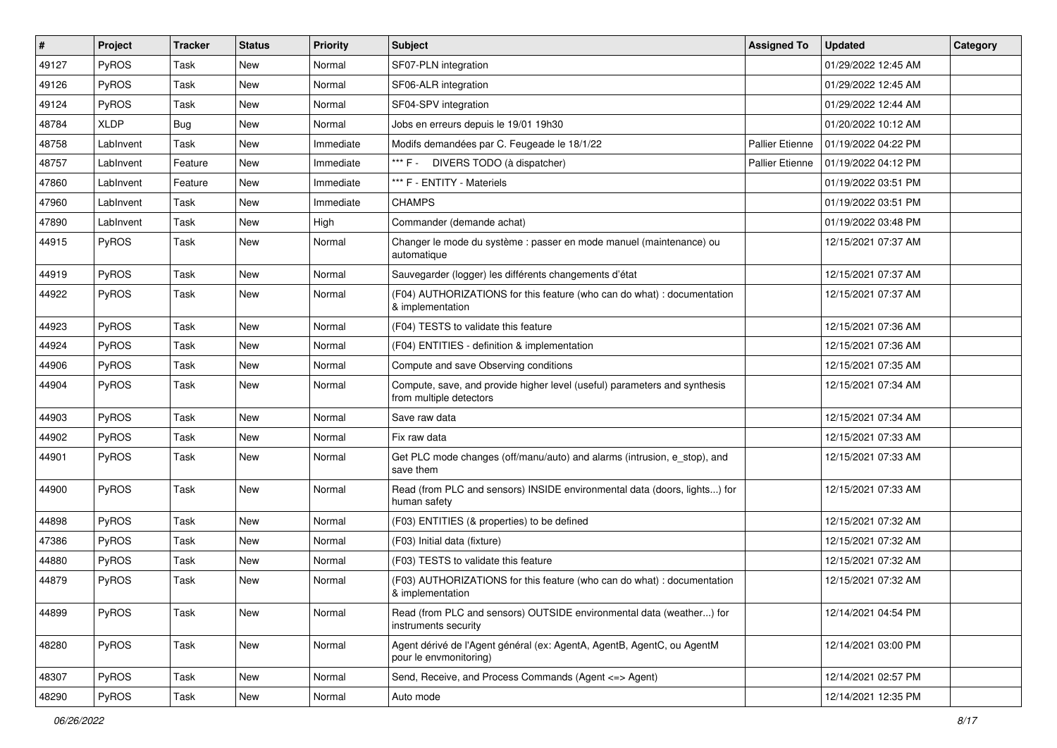| #     | Project     | <b>Tracker</b> | <b>Status</b> | <b>Priority</b> | <b>Subject</b>                                                                                       | <b>Assigned To</b>     | <b>Updated</b>      | Category |
|-------|-------------|----------------|---------------|-----------------|------------------------------------------------------------------------------------------------------|------------------------|---------------------|----------|
| 49127 | PyROS       | Task           | New           | Normal          | SF07-PLN integration                                                                                 |                        | 01/29/2022 12:45 AM |          |
| 49126 | PyROS       | Task           | <b>New</b>    | Normal          | SF06-ALR integration                                                                                 |                        | 01/29/2022 12:45 AM |          |
| 49124 | PyROS       | Task           | New           | Normal          | SF04-SPV integration                                                                                 |                        | 01/29/2022 12:44 AM |          |
| 48784 | <b>XLDP</b> | <b>Bug</b>     | New           | Normal          | Jobs en erreurs depuis le 19/01 19h30                                                                |                        | 01/20/2022 10:12 AM |          |
| 48758 | LabInvent   | Task           | <b>New</b>    | Immediate       | Modifs demandées par C. Feugeade le 18/1/22                                                          | <b>Pallier Etienne</b> | 01/19/2022 04:22 PM |          |
| 48757 | LabInvent   | Feature        | New           | Immediate       | *** F - DIVERS TODO (à dispatcher)                                                                   | <b>Pallier Etienne</b> | 01/19/2022 04:12 PM |          |
| 47860 | LabInvent   | Feature        | <b>New</b>    | Immediate       | *** F - ENTITY - Materiels                                                                           |                        | 01/19/2022 03:51 PM |          |
| 47960 | LabInvent   | Task           | New           | Immediate       | <b>CHAMPS</b>                                                                                        |                        | 01/19/2022 03:51 PM |          |
| 47890 | LabInvent   | Task           | <b>New</b>    | High            | Commander (demande achat)                                                                            |                        | 01/19/2022 03:48 PM |          |
| 44915 | PyROS       | Task           | <b>New</b>    | Normal          | Changer le mode du système : passer en mode manuel (maintenance) ou<br>automatique                   |                        | 12/15/2021 07:37 AM |          |
| 44919 | PyROS       | Task           | <b>New</b>    | Normal          | Sauvegarder (logger) les différents changements d'état                                               |                        | 12/15/2021 07:37 AM |          |
| 44922 | PyROS       | Task           | <b>New</b>    | Normal          | (F04) AUTHORIZATIONS for this feature (who can do what) : documentation<br>& implementation          |                        | 12/15/2021 07:37 AM |          |
| 44923 | PyROS       | Task           | <b>New</b>    | Normal          | (F04) TESTS to validate this feature                                                                 |                        | 12/15/2021 07:36 AM |          |
| 44924 | PyROS       | Task           | New           | Normal          | (F04) ENTITIES - definition & implementation                                                         |                        | 12/15/2021 07:36 AM |          |
| 44906 | PyROS       | Task           | <b>New</b>    | Normal          | Compute and save Observing conditions                                                                |                        | 12/15/2021 07:35 AM |          |
| 44904 | PyROS       | Task           | <b>New</b>    | Normal          | Compute, save, and provide higher level (useful) parameters and synthesis<br>from multiple detectors |                        | 12/15/2021 07:34 AM |          |
| 44903 | PyROS       | Task           | <b>New</b>    | Normal          | Save raw data                                                                                        |                        | 12/15/2021 07:34 AM |          |
| 44902 | PyROS       | Task           | <b>New</b>    | Normal          | Fix raw data                                                                                         |                        | 12/15/2021 07:33 AM |          |
| 44901 | PyROS       | Task           | New           | Normal          | Get PLC mode changes (off/manu/auto) and alarms (intrusion, e_stop), and<br>save them                |                        | 12/15/2021 07:33 AM |          |
| 44900 | PyROS       | Task           | New           | Normal          | Read (from PLC and sensors) INSIDE environmental data (doors, lights) for<br>human safety            |                        | 12/15/2021 07:33 AM |          |
| 44898 | PyROS       | Task           | New           | Normal          | (F03) ENTITIES (& properties) to be defined                                                          |                        | 12/15/2021 07:32 AM |          |
| 47386 | PyROS       | Task           | New           | Normal          | (F03) Initial data (fixture)                                                                         |                        | 12/15/2021 07:32 AM |          |
| 44880 | PyROS       | Task           | New           | Normal          | (F03) TESTS to validate this feature                                                                 |                        | 12/15/2021 07:32 AM |          |
| 44879 | PyROS       | Task           | <b>New</b>    | Normal          | (F03) AUTHORIZATIONS for this feature (who can do what) : documentation<br>& implementation          |                        | 12/15/2021 07:32 AM |          |
| 44899 | PyROS       | Task           | New           | Normal          | Read (from PLC and sensors) OUTSIDE environmental data (weather) for<br>instruments security         |                        | 12/14/2021 04:54 PM |          |
| 48280 | PyROS       | Task           | New           | Normal          | Agent dérivé de l'Agent général (ex: AgentA, AgentB, AgentC, ou AgentM<br>pour le envmonitoring)     |                        | 12/14/2021 03:00 PM |          |
| 48307 | PyROS       | Task           | New           | Normal          | Send, Receive, and Process Commands (Agent <= > Agent)                                               |                        | 12/14/2021 02:57 PM |          |
| 48290 | PyROS       | Task           | New           | Normal          | Auto mode                                                                                            |                        | 12/14/2021 12:35 PM |          |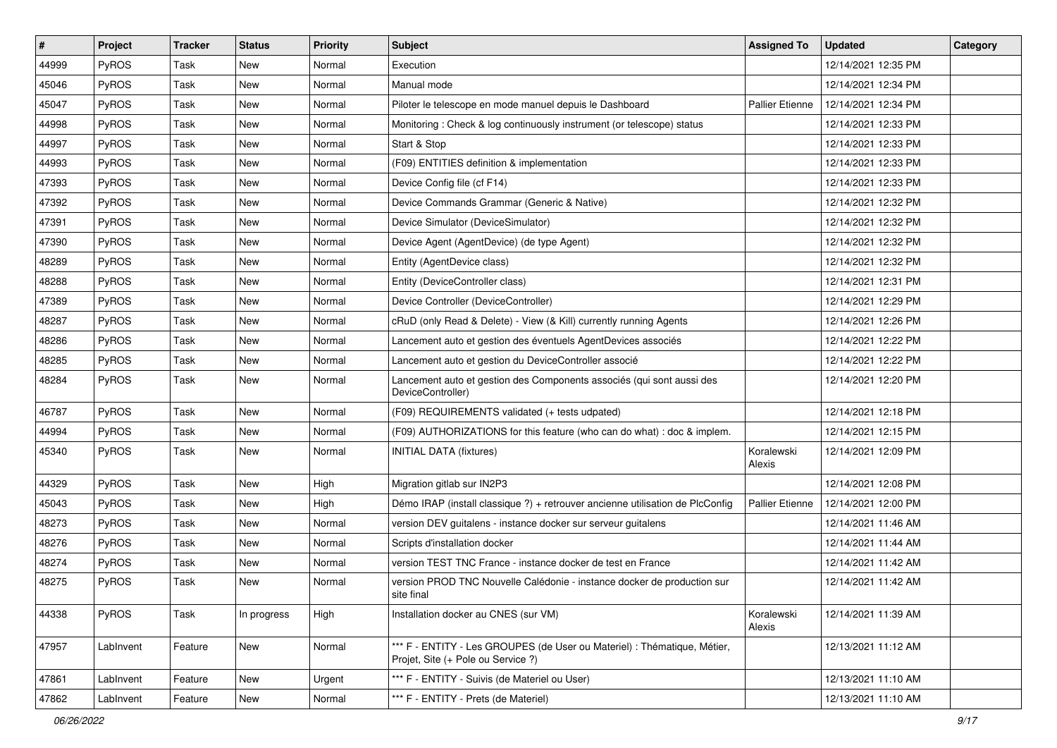| #     | Project      | Tracker | <b>Status</b> | <b>Priority</b> | <b>Subject</b>                                                                                                 | <b>Assigned To</b>     | <b>Updated</b>      | Category |
|-------|--------------|---------|---------------|-----------------|----------------------------------------------------------------------------------------------------------------|------------------------|---------------------|----------|
| 44999 | PyROS        | Task    | New           | Normal          | Execution                                                                                                      |                        | 12/14/2021 12:35 PM |          |
| 45046 | PyROS        | Task    | New           | Normal          | Manual mode                                                                                                    |                        | 12/14/2021 12:34 PM |          |
| 45047 | <b>PyROS</b> | Task    | New           | Normal          | Piloter le telescope en mode manuel depuis le Dashboard                                                        | <b>Pallier Etienne</b> | 12/14/2021 12:34 PM |          |
| 44998 | PyROS        | Task    | New           | Normal          | Monitoring: Check & log continuously instrument (or telescope) status                                          |                        | 12/14/2021 12:33 PM |          |
| 44997 | PyROS        | Task    | New           | Normal          | Start & Stop                                                                                                   |                        | 12/14/2021 12:33 PM |          |
| 44993 | PyROS        | Task    | New           | Normal          | (F09) ENTITIES definition & implementation                                                                     |                        | 12/14/2021 12:33 PM |          |
| 47393 | PyROS        | Task    | New           | Normal          | Device Config file (cf F14)                                                                                    |                        | 12/14/2021 12:33 PM |          |
| 47392 | <b>PyROS</b> | Task    | New           | Normal          | Device Commands Grammar (Generic & Native)                                                                     |                        | 12/14/2021 12:32 PM |          |
| 47391 | PyROS        | Task    | New           | Normal          | Device Simulator (DeviceSimulator)                                                                             |                        | 12/14/2021 12:32 PM |          |
| 47390 | PyROS        | Task    | New           | Normal          | Device Agent (AgentDevice) (de type Agent)                                                                     |                        | 12/14/2021 12:32 PM |          |
| 48289 | PyROS        | Task    | New           | Normal          | Entity (AgentDevice class)                                                                                     |                        | 12/14/2021 12:32 PM |          |
| 48288 | PyROS        | Task    | New           | Normal          | Entity (DeviceController class)                                                                                |                        | 12/14/2021 12:31 PM |          |
| 47389 | PyROS        | Task    | New           | Normal          | Device Controller (DeviceController)                                                                           |                        | 12/14/2021 12:29 PM |          |
| 48287 | PyROS        | Task    | New           | Normal          | cRuD (only Read & Delete) - View (& Kill) currently running Agents                                             |                        | 12/14/2021 12:26 PM |          |
| 48286 | PyROS        | Task    | New           | Normal          | Lancement auto et gestion des éventuels AgentDevices associés                                                  |                        | 12/14/2021 12:22 PM |          |
| 48285 | <b>PyROS</b> | Task    | New           | Normal          | Lancement auto et gestion du DeviceController associé                                                          |                        | 12/14/2021 12:22 PM |          |
| 48284 | PyROS        | Task    | New           | Normal          | Lancement auto et gestion des Components associés (qui sont aussi des<br>DeviceController)                     |                        | 12/14/2021 12:20 PM |          |
| 46787 | PyROS        | Task    | New           | Normal          | (F09) REQUIREMENTS validated (+ tests udpated)                                                                 |                        | 12/14/2021 12:18 PM |          |
| 44994 | PyROS        | Task    | New           | Normal          | (F09) AUTHORIZATIONS for this feature (who can do what) : doc & implem.                                        |                        | 12/14/2021 12:15 PM |          |
| 45340 | PyROS        | Task    | New           | Normal          | <b>INITIAL DATA (fixtures)</b>                                                                                 | Koralewski<br>Alexis   | 12/14/2021 12:09 PM |          |
| 44329 | PyROS        | Task    | New           | High            | Migration gitlab sur IN2P3                                                                                     |                        | 12/14/2021 12:08 PM |          |
| 45043 | <b>PyROS</b> | Task    | New           | High            | Démo IRAP (install classique ?) + retrouver ancienne utilisation de PlcConfig                                  | <b>Pallier Etienne</b> | 12/14/2021 12:00 PM |          |
| 48273 | PyROS        | Task    | New           | Normal          | version DEV guitalens - instance docker sur serveur guitalens                                                  |                        | 12/14/2021 11:46 AM |          |
| 48276 | PyROS        | Task    | New           | Normal          | Scripts d'installation docker                                                                                  |                        | 12/14/2021 11:44 AM |          |
| 48274 | PyROS        | Task    | New           | Normal          | version TEST TNC France - instance docker de test en France                                                    |                        | 12/14/2021 11:42 AM |          |
| 48275 | PyROS        | Task    | New           | Normal          | version PROD TNC Nouvelle Calédonie - instance docker de production sur<br>site final                          |                        | 12/14/2021 11:42 AM |          |
| 44338 | PyROS        | Task    | In progress   | High            | Installation docker au CNES (sur VM)                                                                           | Koralewski<br>Alexis   | 12/14/2021 11:39 AM |          |
| 47957 | LabInvent    | Feature | New           | Normal          | *** F - ENTITY - Les GROUPES (de User ou Materiel) : Thématique, Métier,<br>Projet, Site (+ Pole ou Service ?) |                        | 12/13/2021 11:12 AM |          |
| 47861 | LabInvent    | Feature | New           | Urgent          | *** F - ENTITY - Suivis (de Materiel ou User)                                                                  |                        | 12/13/2021 11:10 AM |          |
| 47862 | LabInvent    | Feature | New           | Normal          | *** F - ENTITY - Prets (de Materiel)                                                                           |                        | 12/13/2021 11:10 AM |          |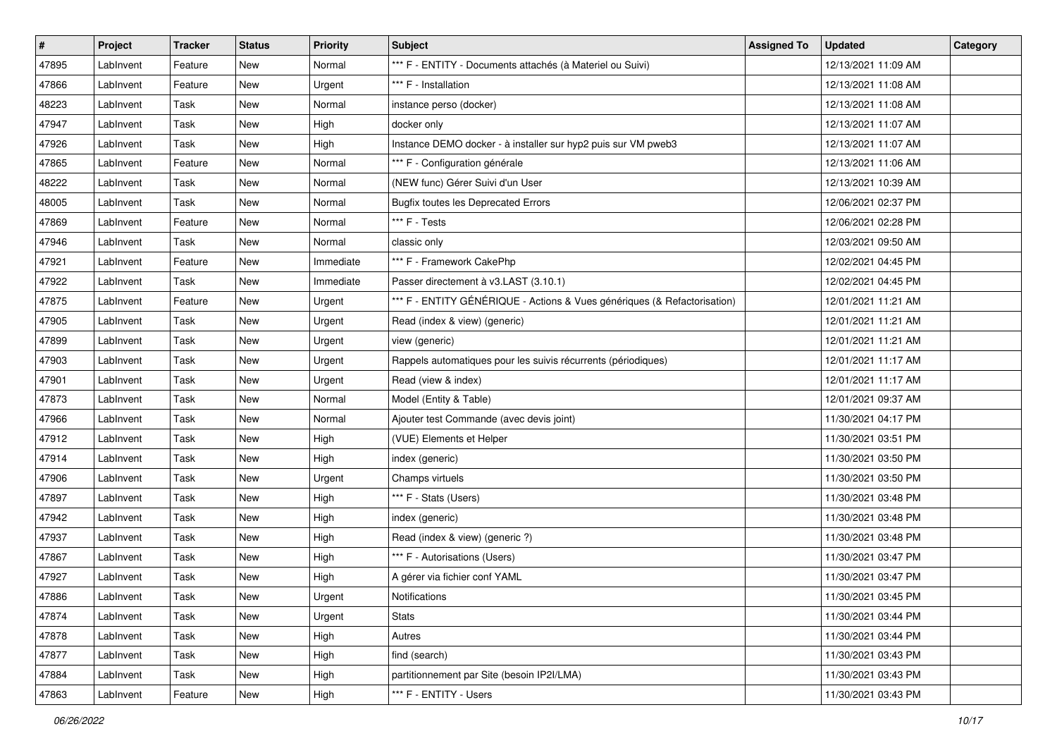| $\vert$ # | Project   | Tracker | <b>Status</b> | <b>Priority</b> | <b>Subject</b>                                                           | <b>Assigned To</b> | <b>Updated</b>      | Category |
|-----------|-----------|---------|---------------|-----------------|--------------------------------------------------------------------------|--------------------|---------------------|----------|
| 47895     | LabInvent | Feature | New           | Normal          | *** F - ENTITY - Documents attachés (à Materiel ou Suivi)                |                    | 12/13/2021 11:09 AM |          |
| 47866     | LabInvent | Feature | New           | Urgent          | *** F - Installation                                                     |                    | 12/13/2021 11:08 AM |          |
| 48223     | LabInvent | Task    | New           | Normal          | instance perso (docker)                                                  |                    | 12/13/2021 11:08 AM |          |
| 47947     | LabInvent | Task    | New           | High            | docker only                                                              |                    | 12/13/2021 11:07 AM |          |
| 47926     | LabInvent | Task    | New           | High            | Instance DEMO docker - à installer sur hyp2 puis sur VM pweb3            |                    | 12/13/2021 11:07 AM |          |
| 47865     | LabInvent | Feature | New           | Normal          | *** F - Configuration générale                                           |                    | 12/13/2021 11:06 AM |          |
| 48222     | LabInvent | Task    | New           | Normal          | (NEW func) Gérer Suivi d'un User                                         |                    | 12/13/2021 10:39 AM |          |
| 48005     | LabInvent | Task    | New           | Normal          | <b>Bugfix toutes les Deprecated Errors</b>                               |                    | 12/06/2021 02:37 PM |          |
| 47869     | LabInvent | Feature | New           | Normal          | *** F - Tests                                                            |                    | 12/06/2021 02:28 PM |          |
| 47946     | LabInvent | Task    | New           | Normal          | classic only                                                             |                    | 12/03/2021 09:50 AM |          |
| 47921     | LabInvent | Feature | New           | Immediate       | *** F - Framework CakePhp                                                |                    | 12/02/2021 04:45 PM |          |
| 47922     | LabInvent | Task    | New           | Immediate       | Passer directement à v3.LAST (3.10.1)                                    |                    | 12/02/2021 04:45 PM |          |
| 47875     | LabInvent | Feature | New           | Urgent          | *** F - ENTITY GÉNÉRIQUE - Actions & Vues génériques (& Refactorisation) |                    | 12/01/2021 11:21 AM |          |
| 47905     | LabInvent | Task    | New           | Urgent          | Read (index & view) (generic)                                            |                    | 12/01/2021 11:21 AM |          |
| 47899     | LabInvent | Task    | New           | Urgent          | view (generic)                                                           |                    | 12/01/2021 11:21 AM |          |
| 47903     | LabInvent | Task    | New           | Urgent          | Rappels automatiques pour les suivis récurrents (périodiques)            |                    | 12/01/2021 11:17 AM |          |
| 47901     | LabInvent | Task    | New           | Urgent          | Read (view & index)                                                      |                    | 12/01/2021 11:17 AM |          |
| 47873     | LabInvent | Task    | New           | Normal          | Model (Entity & Table)                                                   |                    | 12/01/2021 09:37 AM |          |
| 47966     | LabInvent | Task    | New           | Normal          | Ajouter test Commande (avec devis joint)                                 |                    | 11/30/2021 04:17 PM |          |
| 47912     | LabInvent | Task    | New           | High            | (VUE) Elements et Helper                                                 |                    | 11/30/2021 03:51 PM |          |
| 47914     | LabInvent | Task    | New           | High            | index (generic)                                                          |                    | 11/30/2021 03:50 PM |          |
| 47906     | LabInvent | Task    | New           | Urgent          | Champs virtuels                                                          |                    | 11/30/2021 03:50 PM |          |
| 47897     | LabInvent | Task    | New           | High            | *** F - Stats (Users)                                                    |                    | 11/30/2021 03:48 PM |          |
| 47942     | LabInvent | Task    | New           | High            | index (generic)                                                          |                    | 11/30/2021 03:48 PM |          |
| 47937     | LabInvent | Task    | New           | High            | Read (index & view) (generic ?)                                          |                    | 11/30/2021 03:48 PM |          |
| 47867     | LabInvent | Task    | New           | High            | *** F - Autorisations (Users)                                            |                    | 11/30/2021 03:47 PM |          |
| 47927     | LabInvent | Task    | New           | High            | A gérer via fichier conf YAML                                            |                    | 11/30/2021 03:47 PM |          |
| 47886     | LabInvent | Task    | New           | Urgent          | Notifications                                                            |                    | 11/30/2021 03:45 PM |          |
| 47874     | LabInvent | Task    | New           | Urgent          | Stats                                                                    |                    | 11/30/2021 03:44 PM |          |
| 47878     | LabInvent | Task    | New           | High            | Autres                                                                   |                    | 11/30/2021 03:44 PM |          |
| 47877     | LabInvent | Task    | New           | High            | find (search)                                                            |                    | 11/30/2021 03:43 PM |          |
| 47884     | LabInvent | Task    | New           | High            | partitionnement par Site (besoin IP2I/LMA)                               |                    | 11/30/2021 03:43 PM |          |
| 47863     | LabInvent | Feature | New           | High            | *** F - ENTITY - Users                                                   |                    | 11/30/2021 03:43 PM |          |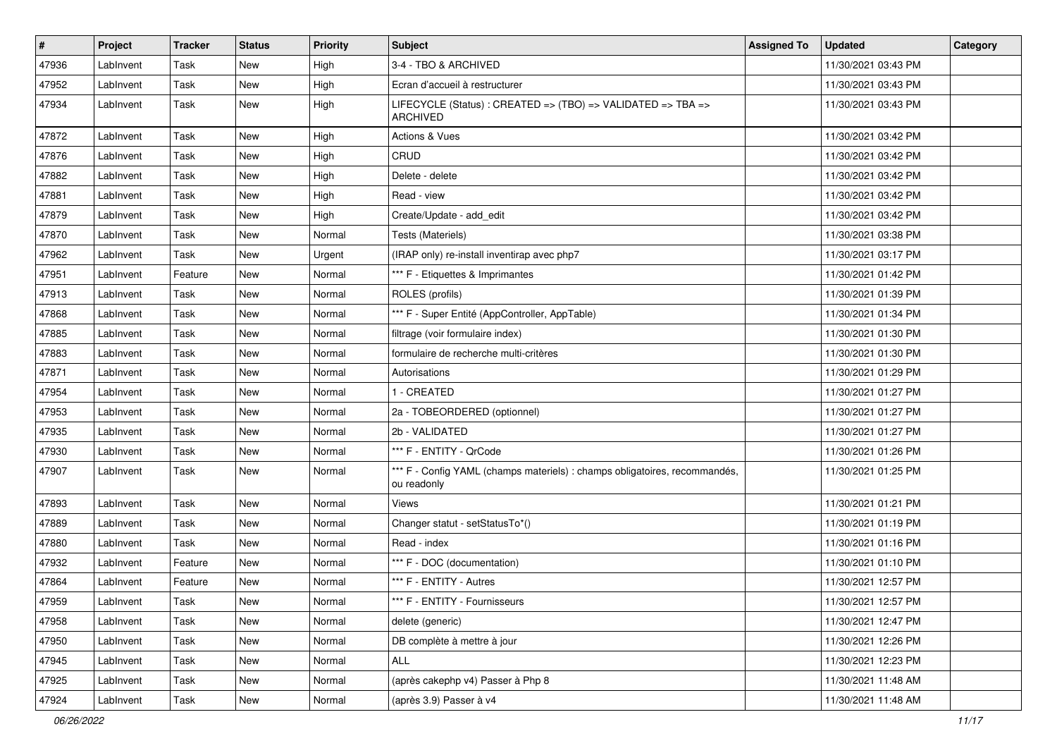| #     | Project   | <b>Tracker</b> | <b>Status</b> | <b>Priority</b> | Subject                                                                                   | <b>Assigned To</b> | <b>Updated</b>      | Category |
|-------|-----------|----------------|---------------|-----------------|-------------------------------------------------------------------------------------------|--------------------|---------------------|----------|
| 47936 | LabInvent | Task           | New           | High            | 3-4 - TBO & ARCHIVED                                                                      |                    | 11/30/2021 03:43 PM |          |
| 47952 | LabInvent | Task           | New           | High            | Ecran d'accueil à restructurer                                                            |                    | 11/30/2021 03:43 PM |          |
| 47934 | LabInvent | Task           | New           | High            | LIFECYCLE (Status): CREATED => (TBO) => VALIDATED => TBA =><br><b>ARCHIVED</b>            |                    | 11/30/2021 03:43 PM |          |
| 47872 | LabInvent | Task           | New           | High            | Actions & Vues                                                                            |                    | 11/30/2021 03:42 PM |          |
| 47876 | LabInvent | Task           | New           | High            | CRUD                                                                                      |                    | 11/30/2021 03:42 PM |          |
| 47882 | LabInvent | Task           | <b>New</b>    | High            | Delete - delete                                                                           |                    | 11/30/2021 03:42 PM |          |
| 47881 | LabInvent | Task           | New           | High            | Read - view                                                                               |                    | 11/30/2021 03:42 PM |          |
| 47879 | LabInvent | Task           | New           | High            | Create/Update - add edit                                                                  |                    | 11/30/2021 03:42 PM |          |
| 47870 | LabInvent | Task           | <b>New</b>    | Normal          | Tests (Materiels)                                                                         |                    | 11/30/2021 03:38 PM |          |
| 47962 | LabInvent | Task           | New           | Urgent          | (IRAP only) re-install inventirap avec php7                                               |                    | 11/30/2021 03:17 PM |          |
| 47951 | LabInvent | Feature        | <b>New</b>    | Normal          | *** F - Etiquettes & Imprimantes                                                          |                    | 11/30/2021 01:42 PM |          |
| 47913 | LabInvent | Task           | New           | Normal          | ROLES (profils)                                                                           |                    | 11/30/2021 01:39 PM |          |
| 47868 | LabInvent | Task           | New           | Normal          | *** F - Super Entité (AppController, AppTable)                                            |                    | 11/30/2021 01:34 PM |          |
| 47885 | LabInvent | Task           | New           | Normal          | filtrage (voir formulaire index)                                                          |                    | 11/30/2021 01:30 PM |          |
| 47883 | LabInvent | Task           | New           | Normal          | formulaire de recherche multi-critères                                                    |                    | 11/30/2021 01:30 PM |          |
| 47871 | LabInvent | Task           | <b>New</b>    | Normal          | Autorisations                                                                             |                    | 11/30/2021 01:29 PM |          |
| 47954 | LabInvent | Task           | <b>New</b>    | Normal          | 1 - CREATED                                                                               |                    | 11/30/2021 01:27 PM |          |
| 47953 | LabInvent | Task           | <b>New</b>    | Normal          | 2a - TOBEORDERED (optionnel)                                                              |                    | 11/30/2021 01:27 PM |          |
| 47935 | LabInvent | Task           | <b>New</b>    | Normal          | 2b - VALIDATED                                                                            |                    | 11/30/2021 01:27 PM |          |
| 47930 | LabInvent | Task           | New           | Normal          | *** F - ENTITY - QrCode                                                                   |                    | 11/30/2021 01:26 PM |          |
| 47907 | LabInvent | Task           | New           | Normal          | *** F - Config YAML (champs materiels) : champs obligatoires, recommandés,<br>ou readonly |                    | 11/30/2021 01:25 PM |          |
| 47893 | LabInvent | Task           | New           | Normal          | <b>Views</b>                                                                              |                    | 11/30/2021 01:21 PM |          |
| 47889 | LabInvent | Task           | New           | Normal          | Changer statut - setStatusTo*()                                                           |                    | 11/30/2021 01:19 PM |          |
| 47880 | LabInvent | Task           | New           | Normal          | Read - index                                                                              |                    | 11/30/2021 01:16 PM |          |
| 47932 | LabInvent | Feature        | New           | Normal          | *** F - DOC (documentation)                                                               |                    | 11/30/2021 01:10 PM |          |
| 47864 | LabInvent | Feature        | <b>New</b>    | Normal          | *** F - ENTITY - Autres                                                                   |                    | 11/30/2021 12:57 PM |          |
| 47959 | LabInvent | Task           | New           | Normal          | *** F - ENTITY - Fournisseurs                                                             |                    | 11/30/2021 12:57 PM |          |
| 47958 | LabInvent | Task           | <b>New</b>    | Normal          | delete (generic)                                                                          |                    | 11/30/2021 12:47 PM |          |
| 47950 | LabInvent | Task           | New           | Normal          | DB complète à mettre à jour                                                               |                    | 11/30/2021 12:26 PM |          |
| 47945 | LabInvent | Task           | New           | Normal          | ALL                                                                                       |                    | 11/30/2021 12:23 PM |          |
| 47925 | LabInvent | Task           | New           | Normal          | (après cakephp v4) Passer à Php 8                                                         |                    | 11/30/2021 11:48 AM |          |
| 47924 | LabInvent | Task           | New           | Normal          | (après 3.9) Passer à v4                                                                   |                    | 11/30/2021 11:48 AM |          |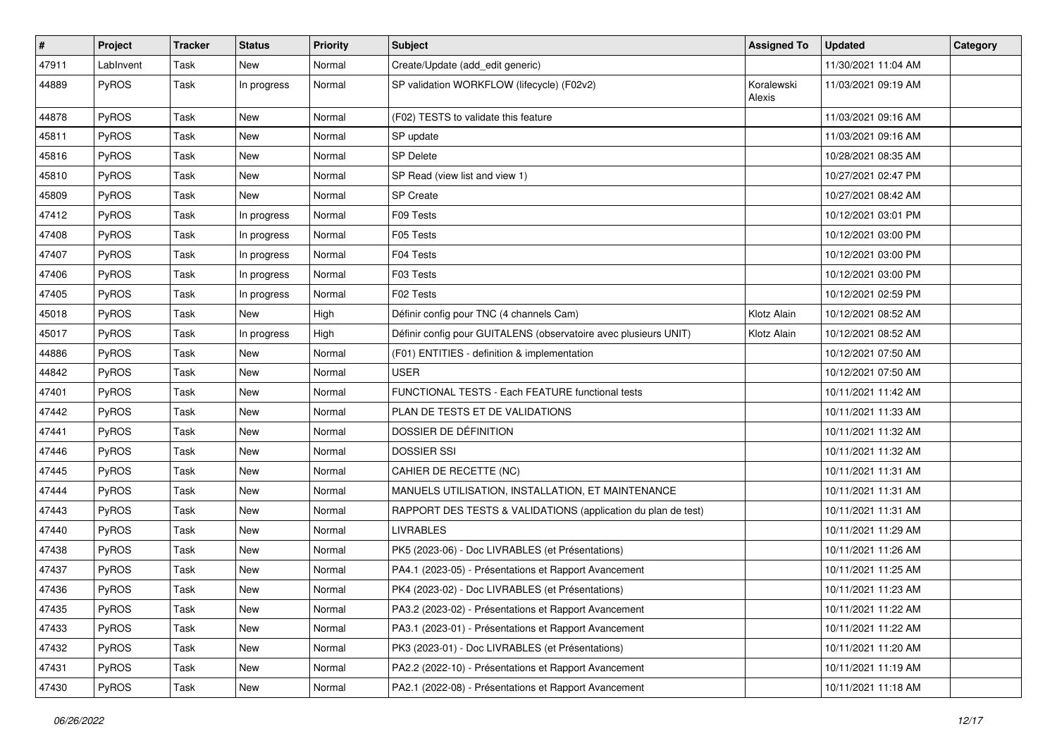| #     | Project   | <b>Tracker</b> | <b>Status</b> | <b>Priority</b> | Subject                                                          | <b>Assigned To</b>   | <b>Updated</b>      | Category |
|-------|-----------|----------------|---------------|-----------------|------------------------------------------------------------------|----------------------|---------------------|----------|
| 47911 | LabInvent | Task           | New           | Normal          | Create/Update (add_edit generic)                                 |                      | 11/30/2021 11:04 AM |          |
| 44889 | PyROS     | Task           | In progress   | Normal          | SP validation WORKFLOW (lifecycle) (F02v2)                       | Koralewski<br>Alexis | 11/03/2021 09:19 AM |          |
| 44878 | PyROS     | Task           | New           | Normal          | (F02) TESTS to validate this feature                             |                      | 11/03/2021 09:16 AM |          |
| 45811 | PyROS     | Task           | New           | Normal          | SP update                                                        |                      | 11/03/2021 09:16 AM |          |
| 45816 | PyROS     | Task           | New           | Normal          | SP Delete                                                        |                      | 10/28/2021 08:35 AM |          |
| 45810 | PyROS     | Task           | New           | Normal          | SP Read (view list and view 1)                                   |                      | 10/27/2021 02:47 PM |          |
| 45809 | PyROS     | Task           | New           | Normal          | <b>SP</b> Create                                                 |                      | 10/27/2021 08:42 AM |          |
| 47412 | PyROS     | Task           | In progress   | Normal          | F09 Tests                                                        |                      | 10/12/2021 03:01 PM |          |
| 47408 | PyROS     | Task           | In progress   | Normal          | F05 Tests                                                        |                      | 10/12/2021 03:00 PM |          |
| 47407 | PyROS     | Task           | In progress   | Normal          | F04 Tests                                                        |                      | 10/12/2021 03:00 PM |          |
| 47406 | PyROS     | Task           | In progress   | Normal          | F03 Tests                                                        |                      | 10/12/2021 03:00 PM |          |
| 47405 | PyROS     | Task           | In progress   | Normal          | F02 Tests                                                        |                      | 10/12/2021 02:59 PM |          |
| 45018 | PyROS     | Task           | New           | High            | Définir config pour TNC (4 channels Cam)                         | Klotz Alain          | 10/12/2021 08:52 AM |          |
| 45017 | PyROS     | Task           | In progress   | High            | Définir config pour GUITALENS (observatoire avec plusieurs UNIT) | Klotz Alain          | 10/12/2021 08:52 AM |          |
| 44886 | PyROS     | Task           | New           | Normal          | (F01) ENTITIES - definition & implementation                     |                      | 10/12/2021 07:50 AM |          |
| 44842 | PyROS     | Task           | New           | Normal          | <b>USER</b>                                                      |                      | 10/12/2021 07:50 AM |          |
| 47401 | PyROS     | Task           | New           | Normal          | FUNCTIONAL TESTS - Each FEATURE functional tests                 |                      | 10/11/2021 11:42 AM |          |
| 47442 | PyROS     | Task           | New           | Normal          | PLAN DE TESTS ET DE VALIDATIONS                                  |                      | 10/11/2021 11:33 AM |          |
| 47441 | PyROS     | Task           | New           | Normal          | DOSSIER DE DÉFINITION                                            |                      | 10/11/2021 11:32 AM |          |
| 47446 | PyROS     | Task           | New           | Normal          | <b>DOSSIER SSI</b>                                               |                      | 10/11/2021 11:32 AM |          |
| 47445 | PyROS     | Task           | New           | Normal          | CAHIER DE RECETTE (NC)                                           |                      | 10/11/2021 11:31 AM |          |
| 47444 | PyROS     | Task           | New           | Normal          | MANUELS UTILISATION, INSTALLATION, ET MAINTENANCE                |                      | 10/11/2021 11:31 AM |          |
| 47443 | PyROS     | Task           | New           | Normal          | RAPPORT DES TESTS & VALIDATIONS (application du plan de test)    |                      | 10/11/2021 11:31 AM |          |
| 47440 | PyROS     | Task           | New           | Normal          | <b>LIVRABLES</b>                                                 |                      | 10/11/2021 11:29 AM |          |
| 47438 | PyROS     | Task           | New           | Normal          | PK5 (2023-06) - Doc LIVRABLES (et Présentations)                 |                      | 10/11/2021 11:26 AM |          |
| 47437 | PyROS     | Task           | New           | Normal          | PA4.1 (2023-05) - Présentations et Rapport Avancement            |                      | 10/11/2021 11:25 AM |          |
| 47436 | PyROS     | Task           | New           | Normal          | PK4 (2023-02) - Doc LIVRABLES (et Présentations)                 |                      | 10/11/2021 11:23 AM |          |
| 47435 | PyROS     | Task           | New           | Normal          | PA3.2 (2023-02) - Présentations et Rapport Avancement            |                      | 10/11/2021 11:22 AM |          |
| 47433 | PyROS     | Task           | New           | Normal          | PA3.1 (2023-01) - Présentations et Rapport Avancement            |                      | 10/11/2021 11:22 AM |          |
| 47432 | PyROS     | Task           | New           | Normal          | PK3 (2023-01) - Doc LIVRABLES (et Présentations)                 |                      | 10/11/2021 11:20 AM |          |
| 47431 | PyROS     | Task           | New           | Normal          | PA2.2 (2022-10) - Présentations et Rapport Avancement            |                      | 10/11/2021 11:19 AM |          |
| 47430 | PyROS     | Task           | New           | Normal          | PA2.1 (2022-08) - Présentations et Rapport Avancement            |                      | 10/11/2021 11:18 AM |          |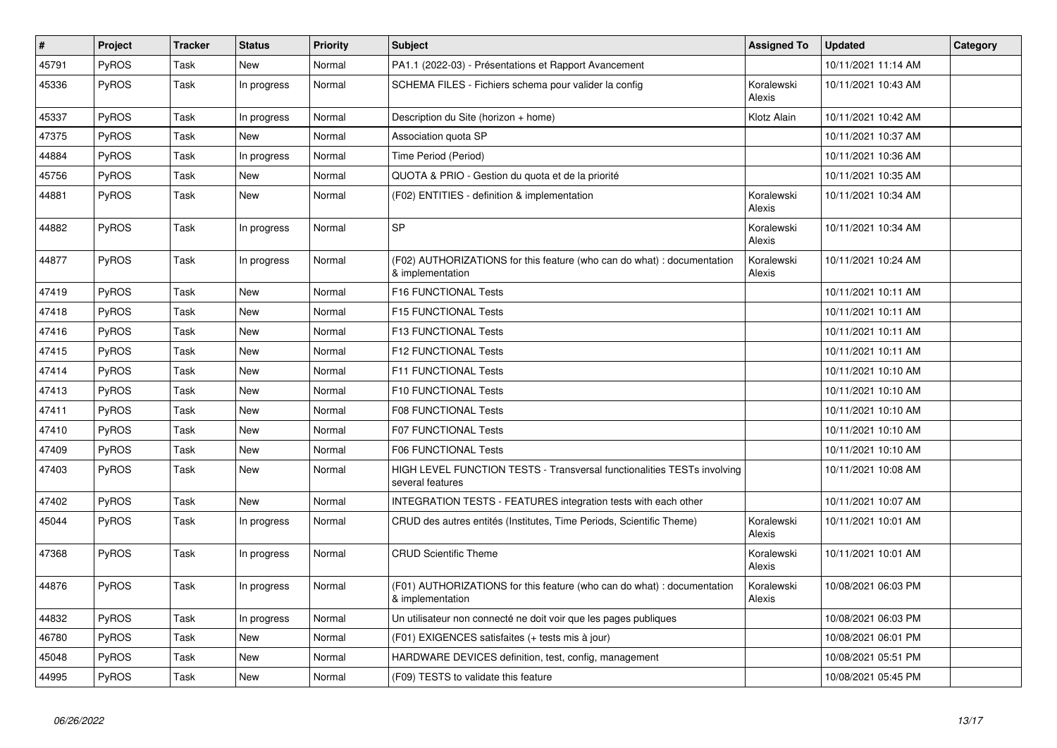| #     | Project      | <b>Tracker</b> | <b>Status</b> | Priority | <b>Subject</b>                                                                              | <b>Assigned To</b>   | <b>Updated</b>      | Category |
|-------|--------------|----------------|---------------|----------|---------------------------------------------------------------------------------------------|----------------------|---------------------|----------|
| 45791 | <b>PyROS</b> | Task           | New           | Normal   | PA1.1 (2022-03) - Présentations et Rapport Avancement                                       |                      | 10/11/2021 11:14 AM |          |
| 45336 | PyROS        | Task           | In progress   | Normal   | SCHEMA FILES - Fichiers schema pour valider la config                                       | Koralewski<br>Alexis | 10/11/2021 10:43 AM |          |
| 45337 | <b>PyROS</b> | Task           | In progress   | Normal   | Description du Site (horizon + home)                                                        | Klotz Alain          | 10/11/2021 10:42 AM |          |
| 47375 | <b>PyROS</b> | Task           | New           | Normal   | Association quota SP                                                                        |                      | 10/11/2021 10:37 AM |          |
| 44884 | PyROS        | Task           | In progress   | Normal   | Time Period (Period)                                                                        |                      | 10/11/2021 10:36 AM |          |
| 45756 | <b>PyROS</b> | Task           | New           | Normal   | QUOTA & PRIO - Gestion du quota et de la priorité                                           |                      | 10/11/2021 10:35 AM |          |
| 44881 | <b>PyROS</b> | Task           | New           | Normal   | (F02) ENTITIES - definition & implementation                                                | Koralewski<br>Alexis | 10/11/2021 10:34 AM |          |
| 44882 | <b>PyROS</b> | Task           | In progress   | Normal   | <b>SP</b>                                                                                   | Koralewski<br>Alexis | 10/11/2021 10:34 AM |          |
| 44877 | <b>PyROS</b> | Task           | In progress   | Normal   | (F02) AUTHORIZATIONS for this feature (who can do what) : documentation<br>& implementation | Koralewski<br>Alexis | 10/11/2021 10:24 AM |          |
| 47419 | PyROS        | Task           | New           | Normal   | F16 FUNCTIONAL Tests                                                                        |                      | 10/11/2021 10:11 AM |          |
| 47418 | <b>PyROS</b> | Task           | New           | Normal   | F15 FUNCTIONAL Tests                                                                        |                      | 10/11/2021 10:11 AM |          |
| 47416 | <b>PyROS</b> | Task           | New           | Normal   | <b>F13 FUNCTIONAL Tests</b>                                                                 |                      | 10/11/2021 10:11 AM |          |
| 47415 | <b>PyROS</b> | Task           | <b>New</b>    | Normal   | F12 FUNCTIONAL Tests                                                                        |                      | 10/11/2021 10:11 AM |          |
| 47414 | PyROS        | Task           | <b>New</b>    | Normal   | F11 FUNCTIONAL Tests                                                                        |                      | 10/11/2021 10:10 AM |          |
| 47413 | <b>PyROS</b> | Task           | New           | Normal   | F10 FUNCTIONAL Tests                                                                        |                      | 10/11/2021 10:10 AM |          |
| 47411 | <b>PyROS</b> | Task           | New           | Normal   | <b>F08 FUNCTIONAL Tests</b>                                                                 |                      | 10/11/2021 10:10 AM |          |
| 47410 | <b>PyROS</b> | Task           | New           | Normal   | <b>F07 FUNCTIONAL Tests</b>                                                                 |                      | 10/11/2021 10:10 AM |          |
| 47409 | PyROS        | Task           | New           | Normal   | <b>F06 FUNCTIONAL Tests</b>                                                                 |                      | 10/11/2021 10:10 AM |          |
| 47403 | <b>PyROS</b> | Task           | New           | Normal   | HIGH LEVEL FUNCTION TESTS - Transversal functionalities TESTs involving<br>several features |                      | 10/11/2021 10:08 AM |          |
| 47402 | <b>PyROS</b> | Task           | New           | Normal   | INTEGRATION TESTS - FEATURES integration tests with each other                              |                      | 10/11/2021 10:07 AM |          |
| 45044 | <b>PyROS</b> | Task           | In progress   | Normal   | CRUD des autres entités (Institutes, Time Periods, Scientific Theme)                        | Koralewski<br>Alexis | 10/11/2021 10:01 AM |          |
| 47368 | <b>PyROS</b> | Task           | In progress   | Normal   | <b>CRUD Scientific Theme</b>                                                                | Koralewski<br>Alexis | 10/11/2021 10:01 AM |          |
| 44876 | <b>PyROS</b> | Task           | In progress   | Normal   | (F01) AUTHORIZATIONS for this feature (who can do what) : documentation<br>& implementation | Koralewski<br>Alexis | 10/08/2021 06:03 PM |          |
| 44832 | PyROS        | Task           | In progress   | Normal   | Un utilisateur non connecté ne doit voir que les pages publiques                            |                      | 10/08/2021 06:03 PM |          |
| 46780 | <b>PyROS</b> | Task           | New           | Normal   | (F01) EXIGENCES satisfaites (+ tests mis à jour)                                            |                      | 10/08/2021 06:01 PM |          |
| 45048 | <b>PyROS</b> | Task           | <b>New</b>    | Normal   | HARDWARE DEVICES definition, test, config, management                                       |                      | 10/08/2021 05:51 PM |          |
| 44995 | PyROS        | Task           | <b>New</b>    | Normal   | (F09) TESTS to validate this feature                                                        |                      | 10/08/2021 05:45 PM |          |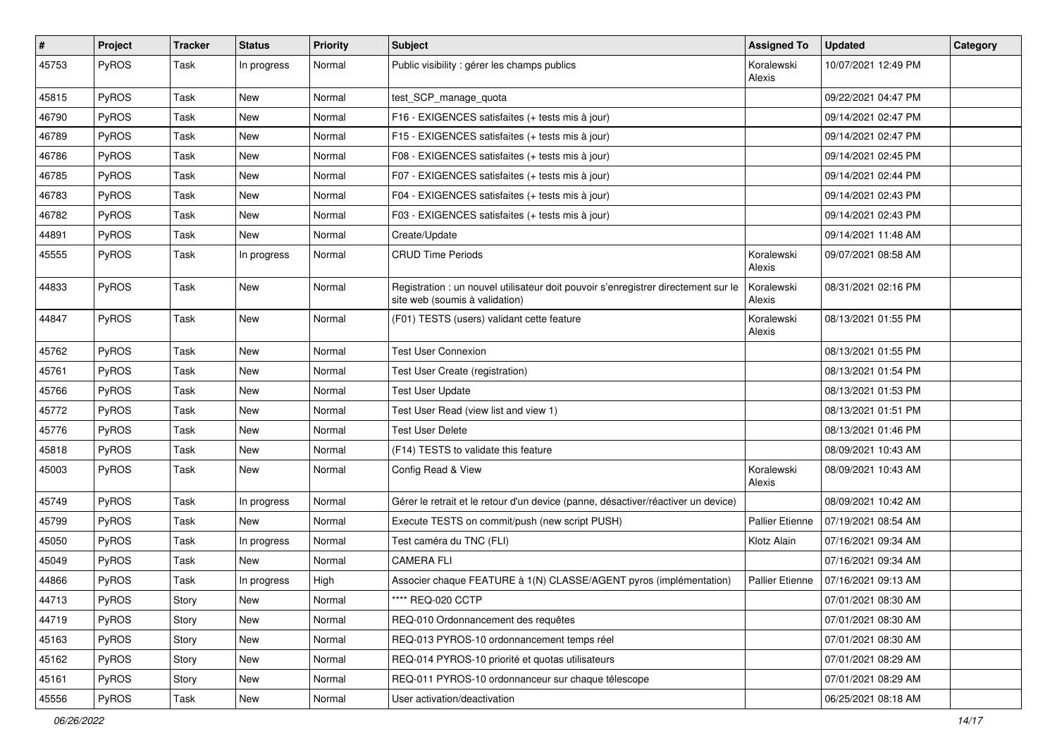| #     | Project      | <b>Tracker</b> | <b>Status</b> | <b>Priority</b> | <b>Subject</b>                                                                                                       | <b>Assigned To</b>     | <b>Updated</b>      | Category |
|-------|--------------|----------------|---------------|-----------------|----------------------------------------------------------------------------------------------------------------------|------------------------|---------------------|----------|
| 45753 | PyROS        | Task           | In progress   | Normal          | Public visibility : gérer les champs publics                                                                         | Koralewski<br>Alexis   | 10/07/2021 12:49 PM |          |
| 45815 | PyROS        | Task           | New           | Normal          | test_SCP_manage_quota                                                                                                |                        | 09/22/2021 04:47 PM |          |
| 46790 | PyROS        | Task           | New           | Normal          | F16 - EXIGENCES satisfaites (+ tests mis à jour)                                                                     |                        | 09/14/2021 02:47 PM |          |
| 46789 | PyROS        | Task           | New           | Normal          | F15 - EXIGENCES satisfaites (+ tests mis à jour)                                                                     |                        | 09/14/2021 02:47 PM |          |
| 46786 | PyROS        | Task           | New           | Normal          | F08 - EXIGENCES satisfaites (+ tests mis à jour)                                                                     |                        | 09/14/2021 02:45 PM |          |
| 46785 | PyROS        | Task           | New           | Normal          | F07 - EXIGENCES satisfaites (+ tests mis à jour)                                                                     |                        | 09/14/2021 02:44 PM |          |
| 46783 | <b>PyROS</b> | Task           | New           | Normal          | F04 - EXIGENCES satisfaites (+ tests mis à jour)                                                                     |                        | 09/14/2021 02:43 PM |          |
| 46782 | PyROS        | Task           | New           | Normal          | F03 - EXIGENCES satisfaites (+ tests mis à jour)                                                                     |                        | 09/14/2021 02:43 PM |          |
| 44891 | PyROS        | Task           | <b>New</b>    | Normal          | Create/Update                                                                                                        |                        | 09/14/2021 11:48 AM |          |
| 45555 | <b>PyROS</b> | Task           | In progress   | Normal          | <b>CRUD Time Periods</b>                                                                                             | Koralewski<br>Alexis   | 09/07/2021 08:58 AM |          |
| 44833 | PyROS        | Task           | <b>New</b>    | Normal          | Registration : un nouvel utilisateur doit pouvoir s'enregistrer directement sur le<br>site web (soumis à validation) | Koralewski<br>Alexis   | 08/31/2021 02:16 PM |          |
| 44847 | PyROS        | Task           | New           | Normal          | (F01) TESTS (users) validant cette feature                                                                           | Koralewski<br>Alexis   | 08/13/2021 01:55 PM |          |
| 45762 | PyROS        | Task           | New           | Normal          | <b>Test User Connexion</b>                                                                                           |                        | 08/13/2021 01:55 PM |          |
| 45761 | PyROS        | Task           | New           | Normal          | Test User Create (registration)                                                                                      |                        | 08/13/2021 01:54 PM |          |
| 45766 | <b>PyROS</b> | Task           | New           | Normal          | <b>Test User Update</b>                                                                                              |                        | 08/13/2021 01:53 PM |          |
| 45772 | PyROS        | Task           | New           | Normal          | Test User Read (view list and view 1)                                                                                |                        | 08/13/2021 01:51 PM |          |
| 45776 | PyROS        | Task           | New           | Normal          | <b>Test User Delete</b>                                                                                              |                        | 08/13/2021 01:46 PM |          |
| 45818 | PyROS        | Task           | New           | Normal          | (F14) TESTS to validate this feature                                                                                 |                        | 08/09/2021 10:43 AM |          |
| 45003 | PyROS        | Task           | New           | Normal          | Config Read & View                                                                                                   | Koralewski<br>Alexis   | 08/09/2021 10:43 AM |          |
| 45749 | PyROS        | Task           | In progress   | Normal          | Gérer le retrait et le retour d'un device (panne, désactiver/réactiver un device)                                    |                        | 08/09/2021 10:42 AM |          |
| 45799 | PyROS        | Task           | New           | Normal          | Execute TESTS on commit/push (new script PUSH)                                                                       | <b>Pallier Etienne</b> | 07/19/2021 08:54 AM |          |
| 45050 | PyROS        | Task           | In progress   | Normal          | Test caméra du TNC (FLI)                                                                                             | Klotz Alain            | 07/16/2021 09:34 AM |          |
| 45049 | PyROS        | Task           | New           | Normal          | <b>CAMERA FLI</b>                                                                                                    |                        | 07/16/2021 09:34 AM |          |
| 44866 | PyROS        | Task           | In progress   | High            | Associer chaque FEATURE à 1(N) CLASSE/AGENT pyros (implémentation)                                                   | <b>Pallier Etienne</b> | 07/16/2021 09:13 AM |          |
| 44713 | PyROS        | Story          | New           | Normal          | **** REQ-020 CCTP                                                                                                    |                        | 07/01/2021 08:30 AM |          |
| 44719 | PyROS        | Story          | New           | Normal          | REQ-010 Ordonnancement des requêtes                                                                                  |                        | 07/01/2021 08:30 AM |          |
| 45163 | PyROS        | Story          | New           | Normal          | REQ-013 PYROS-10 ordonnancement temps réel                                                                           |                        | 07/01/2021 08:30 AM |          |
| 45162 | PyROS        | Story          | New           | Normal          | REQ-014 PYROS-10 priorité et quotas utilisateurs                                                                     |                        | 07/01/2021 08:29 AM |          |
| 45161 | PyROS        | Story          | New           | Normal          | REQ-011 PYROS-10 ordonnanceur sur chaque télescope                                                                   |                        | 07/01/2021 08:29 AM |          |
| 45556 | PyROS        | Task           | New           | Normal          | User activation/deactivation                                                                                         |                        | 06/25/2021 08:18 AM |          |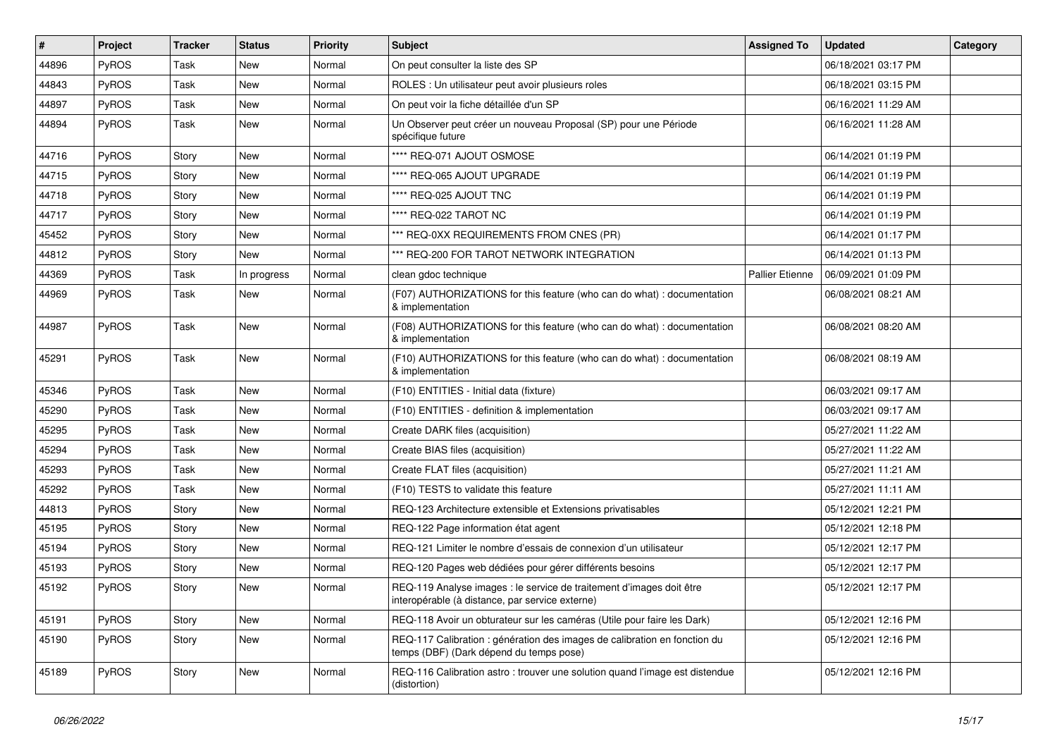| $\vert$ # | Project      | <b>Tracker</b> | <b>Status</b> | <b>Priority</b> | <b>Subject</b>                                                                                                          | <b>Assigned To</b>     | <b>Updated</b>      | Category |
|-----------|--------------|----------------|---------------|-----------------|-------------------------------------------------------------------------------------------------------------------------|------------------------|---------------------|----------|
| 44896     | PyROS        | Task           | <b>New</b>    | Normal          | On peut consulter la liste des SP                                                                                       |                        | 06/18/2021 03:17 PM |          |
| 44843     | PyROS        | Task           | <b>New</b>    | Normal          | ROLES : Un utilisateur peut avoir plusieurs roles                                                                       |                        | 06/18/2021 03:15 PM |          |
| 44897     | <b>PyROS</b> | Task           | New           | Normal          | On peut voir la fiche détaillée d'un SP                                                                                 |                        | 06/16/2021 11:29 AM |          |
| 44894     | PyROS        | Task           | New           | Normal          | Un Observer peut créer un nouveau Proposal (SP) pour une Période<br>spécifique future                                   |                        | 06/16/2021 11:28 AM |          |
| 44716     | PyROS        | Story          | New           | Normal          | **** REQ-071 AJOUT OSMOSE                                                                                               |                        | 06/14/2021 01:19 PM |          |
| 44715     | PyROS        | Story          | <b>New</b>    | Normal          | **** REQ-065 AJOUT UPGRADE                                                                                              |                        | 06/14/2021 01:19 PM |          |
| 44718     | PyROS        | Story          | New           | Normal          | **** REQ-025 AJOUT TNC                                                                                                  |                        | 06/14/2021 01:19 PM |          |
| 44717     | PyROS        | Story          | <b>New</b>    | Normal          | **** REQ-022 TAROT NC                                                                                                   |                        | 06/14/2021 01:19 PM |          |
| 45452     | PyROS        | Story          | <b>New</b>    | Normal          | *** REQ-0XX REQUIREMENTS FROM CNES (PR)                                                                                 |                        | 06/14/2021 01:17 PM |          |
| 44812     | <b>PyROS</b> | Story          | New           | Normal          | *** REQ-200 FOR TAROT NETWORK INTEGRATION                                                                               |                        | 06/14/2021 01:13 PM |          |
| 44369     | PyROS        | Task           | In progress   | Normal          | clean gdoc technique                                                                                                    | <b>Pallier Etienne</b> | 06/09/2021 01:09 PM |          |
| 44969     | PyROS        | Task           | New           | Normal          | (F07) AUTHORIZATIONS for this feature (who can do what) : documentation<br>& implementation                             |                        | 06/08/2021 08:21 AM |          |
| 44987     | PyROS        | Task           | <b>New</b>    | Normal          | (F08) AUTHORIZATIONS for this feature (who can do what) : documentation<br>& implementation                             |                        | 06/08/2021 08:20 AM |          |
| 45291     | PyROS        | Task           | <b>New</b>    | Normal          | (F10) AUTHORIZATIONS for this feature (who can do what) : documentation<br>& implementation                             |                        | 06/08/2021 08:19 AM |          |
| 45346     | PyROS        | Task           | <b>New</b>    | Normal          | (F10) ENTITIES - Initial data (fixture)                                                                                 |                        | 06/03/2021 09:17 AM |          |
| 45290     | PyROS        | Task           | New           | Normal          | (F10) ENTITIES - definition & implementation                                                                            |                        | 06/03/2021 09:17 AM |          |
| 45295     | PyROS        | Task           | New           | Normal          | Create DARK files (acquisition)                                                                                         |                        | 05/27/2021 11:22 AM |          |
| 45294     | PyROS        | Task           | New           | Normal          | Create BIAS files (acquisition)                                                                                         |                        | 05/27/2021 11:22 AM |          |
| 45293     | PyROS        | Task           | <b>New</b>    | Normal          | Create FLAT files (acquisition)                                                                                         |                        | 05/27/2021 11:21 AM |          |
| 45292     | PyROS        | Task           | New           | Normal          | (F10) TESTS to validate this feature                                                                                    |                        | 05/27/2021 11:11 AM |          |
| 44813     | PyROS        | Story          | New           | Normal          | REQ-123 Architecture extensible et Extensions privatisables                                                             |                        | 05/12/2021 12:21 PM |          |
| 45195     | PyROS        | Story          | <b>New</b>    | Normal          | REQ-122 Page information état agent                                                                                     |                        | 05/12/2021 12:18 PM |          |
| 45194     | PyROS        | Story          | New           | Normal          | REQ-121 Limiter le nombre d'essais de connexion d'un utilisateur                                                        |                        | 05/12/2021 12:17 PM |          |
| 45193     | PyROS        | Story          | New           | Normal          | REQ-120 Pages web dédiées pour gérer différents besoins                                                                 |                        | 05/12/2021 12:17 PM |          |
| 45192     | PyROS        | Story          | New           | Normal          | REQ-119 Analyse images : le service de traitement d'images doit être<br>interopérable (à distance, par service externe) |                        | 05/12/2021 12:17 PM |          |
| 45191     | PyROS        | Story          | New           | Normal          | REQ-118 Avoir un obturateur sur les caméras (Utile pour faire les Dark)                                                 |                        | 05/12/2021 12:16 PM |          |
| 45190     | PyROS        | Story          | New           | Normal          | REQ-117 Calibration : génération des images de calibration en fonction du<br>temps (DBF) (Dark dépend du temps pose)    |                        | 05/12/2021 12:16 PM |          |
| 45189     | PyROS        | Story          | New           | Normal          | REQ-116 Calibration astro: trouver une solution quand l'image est distendue<br>(distortion)                             |                        | 05/12/2021 12:16 PM |          |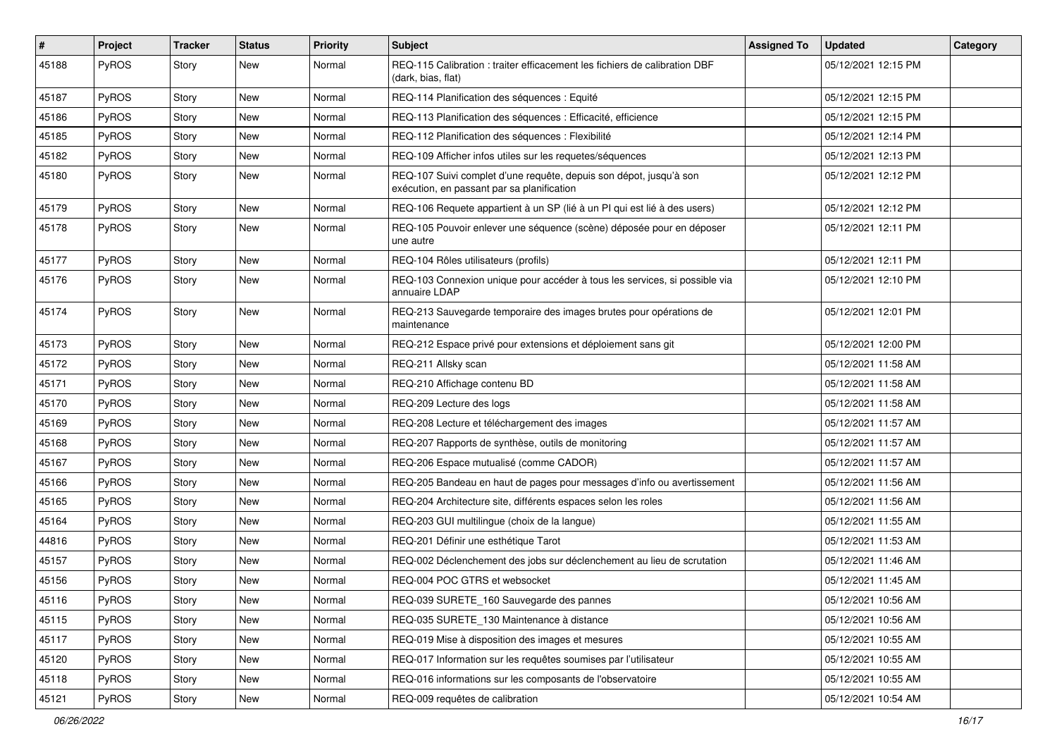| #     | Project      | <b>Tracker</b> | <b>Status</b> | <b>Priority</b> | Subject                                                                                                          | <b>Assigned To</b> | <b>Updated</b>      | Category |
|-------|--------------|----------------|---------------|-----------------|------------------------------------------------------------------------------------------------------------------|--------------------|---------------------|----------|
| 45188 | PyROS        | Story          | New           | Normal          | REQ-115 Calibration : traiter efficacement les fichiers de calibration DBF<br>(dark, bias, flat)                 |                    | 05/12/2021 12:15 PM |          |
| 45187 | PyROS        | Story          | New           | Normal          | REQ-114 Planification des séquences : Equité                                                                     |                    | 05/12/2021 12:15 PM |          |
| 45186 | PyROS        | Story          | New           | Normal          | REQ-113 Planification des séquences : Efficacité, efficience                                                     |                    | 05/12/2021 12:15 PM |          |
| 45185 | PyROS        | Story          | <b>New</b>    | Normal          | REQ-112 Planification des séquences : Flexibilité                                                                |                    | 05/12/2021 12:14 PM |          |
| 45182 | <b>PyROS</b> | Story          | New           | Normal          | REQ-109 Afficher infos utiles sur les requetes/séquences                                                         |                    | 05/12/2021 12:13 PM |          |
| 45180 | PyROS        | Story          | New           | Normal          | REQ-107 Suivi complet d'une requête, depuis son dépot, jusqu'à son<br>exécution, en passant par sa planification |                    | 05/12/2021 12:12 PM |          |
| 45179 | PyROS        | Story          | <b>New</b>    | Normal          | REQ-106 Requete appartient à un SP (lié à un PI qui est lié à des users)                                         |                    | 05/12/2021 12:12 PM |          |
| 45178 | PyROS        | Story          | New           | Normal          | REQ-105 Pouvoir enlever une séquence (scène) déposée pour en déposer<br>une autre                                |                    | 05/12/2021 12:11 PM |          |
| 45177 | PyROS        | Story          | <b>New</b>    | Normal          | REQ-104 Rôles utilisateurs (profils)                                                                             |                    | 05/12/2021 12:11 PM |          |
| 45176 | PyROS        | Story          | <b>New</b>    | Normal          | REQ-103 Connexion unique pour accéder à tous les services, si possible via<br>annuaire LDAP                      |                    | 05/12/2021 12:10 PM |          |
| 45174 | PyROS        | Story          | New           | Normal          | REQ-213 Sauvegarde temporaire des images brutes pour opérations de<br>maintenance                                |                    | 05/12/2021 12:01 PM |          |
| 45173 | PyROS        | Story          | <b>New</b>    | Normal          | REQ-212 Espace privé pour extensions et déploiement sans git                                                     |                    | 05/12/2021 12:00 PM |          |
| 45172 | PyROS        | Story          | New           | Normal          | REQ-211 Allsky scan                                                                                              |                    | 05/12/2021 11:58 AM |          |
| 45171 | <b>PyROS</b> | Story          | New           | Normal          | REQ-210 Affichage contenu BD                                                                                     |                    | 05/12/2021 11:58 AM |          |
| 45170 | PyROS        | Story          | New           | Normal          | REQ-209 Lecture des logs                                                                                         |                    | 05/12/2021 11:58 AM |          |
| 45169 | PyROS        | Story          | <b>New</b>    | Normal          | REQ-208 Lecture et téléchargement des images                                                                     |                    | 05/12/2021 11:57 AM |          |
| 45168 | PyROS        | Story          | New           | Normal          | REQ-207 Rapports de synthèse, outils de monitoring                                                               |                    | 05/12/2021 11:57 AM |          |
| 45167 | PyROS        | Story          | <b>New</b>    | Normal          | REQ-206 Espace mutualisé (comme CADOR)                                                                           |                    | 05/12/2021 11:57 AM |          |
| 45166 | <b>PyROS</b> | Story          | New           | Normal          | REQ-205 Bandeau en haut de pages pour messages d'info ou avertissement                                           |                    | 05/12/2021 11:56 AM |          |
| 45165 | PyROS        | Story          | New           | Normal          | REQ-204 Architecture site, différents espaces selon les roles                                                    |                    | 05/12/2021 11:56 AM |          |
| 45164 | PyROS        | Story          | <b>New</b>    | Normal          | REQ-203 GUI multilingue (choix de la langue)                                                                     |                    | 05/12/2021 11:55 AM |          |
| 44816 | <b>PyROS</b> | Story          | New           | Normal          | REQ-201 Définir une esthétique Tarot                                                                             |                    | 05/12/2021 11:53 AM |          |
| 45157 | PyROS        | Story          | New           | Normal          | REQ-002 Déclenchement des jobs sur déclenchement au lieu de scrutation                                           |                    | 05/12/2021 11:46 AM |          |
| 45156 | <b>PyROS</b> | Story          | New           | Normal          | REQ-004 POC GTRS et websocket                                                                                    |                    | 05/12/2021 11:45 AM |          |
| 45116 | PyROS        | Story          | New           | Normal          | REQ-039 SURETE_160 Sauvegarde des pannes                                                                         |                    | 05/12/2021 10:56 AM |          |
| 45115 | PyROS        | Story          | New           | Normal          | REQ-035 SURETE 130 Maintenance à distance                                                                        |                    | 05/12/2021 10:56 AM |          |
| 45117 | PyROS        | Story          | New           | Normal          | REQ-019 Mise à disposition des images et mesures                                                                 |                    | 05/12/2021 10:55 AM |          |
| 45120 | PyROS        | Story          | New           | Normal          | REQ-017 Information sur les requêtes soumises par l'utilisateur                                                  |                    | 05/12/2021 10:55 AM |          |
| 45118 | PyROS        | Story          | New           | Normal          | REQ-016 informations sur les composants de l'observatoire                                                        |                    | 05/12/2021 10:55 AM |          |
| 45121 | PyROS        | Story          | New           | Normal          | REQ-009 requêtes de calibration                                                                                  |                    | 05/12/2021 10:54 AM |          |